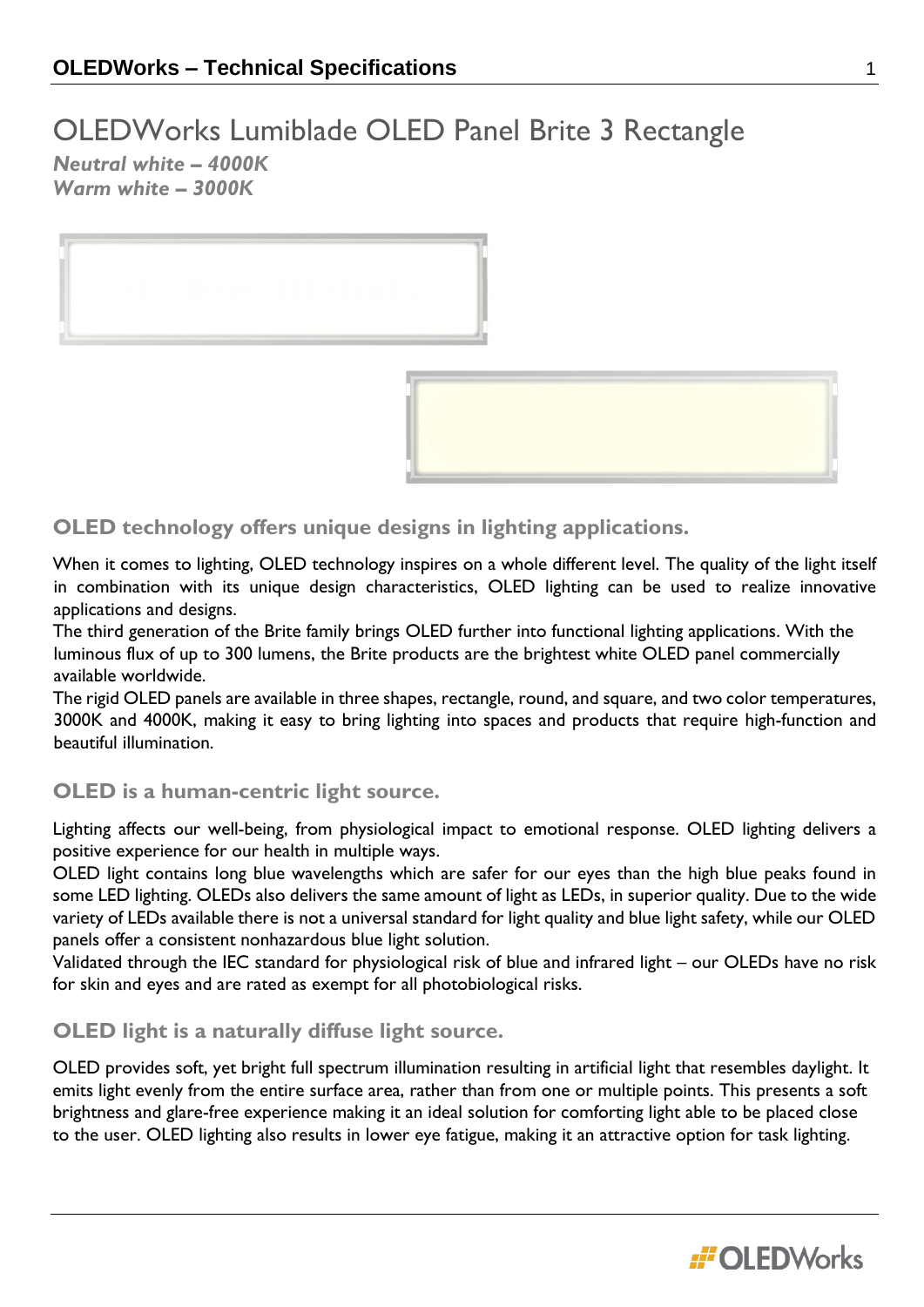# OLEDWorks Lumiblade OLED Panel Brite 3 Rectangle

*Neutral white – 4000K Warm white – 3000K*



# **OLED technology offers unique designs in lighting applications.**

When it comes to lighting, OLED technology inspires on a whole different level. The quality of the light itself in combination with its unique design characteristics, OLED lighting can be used to realize innovative applications and designs.

The third generation of the Brite family brings OLED further into functional lighting applications. With the luminous flux of up to 300 lumens, the Brite products are the brightest white OLED panel commercially available worldwide.

The rigid OLED panels are available in three shapes, rectangle, round, and square, and two color temperatures, 3000K and 4000K, making it easy to bring lighting into spaces and products that require high-function and beautiful illumination.

# **OLED is a human-centric light source.**

Lighting affects our well-being, from physiological impact to emotional response. OLED lighting delivers a positive experience for our health in multiple ways.

OLED light contains long blue wavelengths which are safer for our eyes than the high blue peaks found in some LED lighting. OLEDs also delivers the same amount of light as LEDs, in superior quality. Due to the wide variety of LEDs available there is not a universal standard for light quality and blue light safety, while our OLED panels offer a consistent nonhazardous blue light solution.

Validated through the IEC standard for physiological risk of blue and infrared light – our OLEDs have no risk for skin and eyes and are rated as exempt for all photobiological risks.

# **OLED light is a naturally diffuse light source.**

OLED provides soft, yet bright full spectrum illumination resulting in artificial light that resembles daylight. It emits light evenly from the entire surface area, rather than from one or multiple points. This presents a soft brightness and glare-free experience making it an ideal solution for comforting light able to be placed close to the user. OLED lighting also results in lower eye fatigue, making it an attractive option for task lighting.

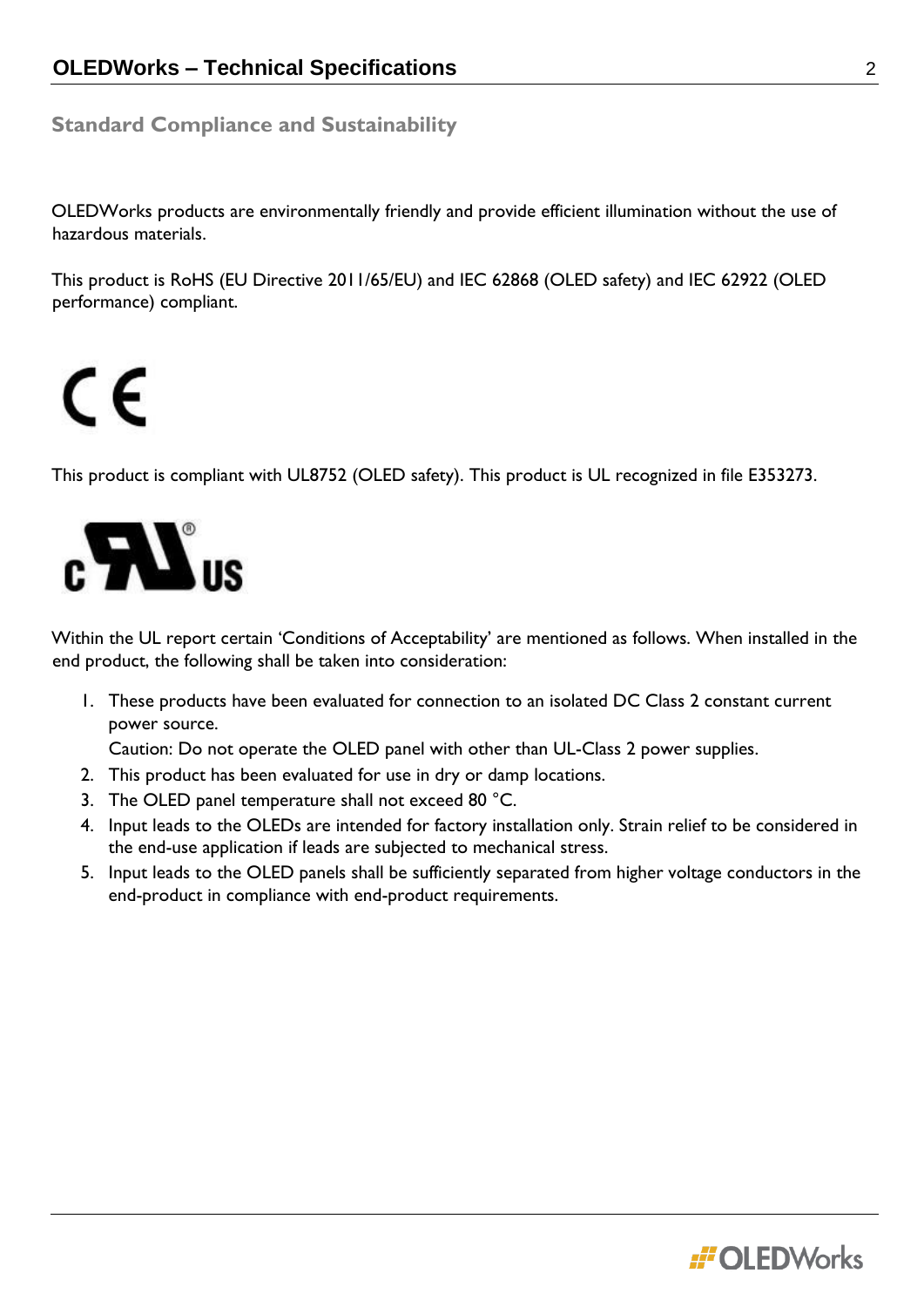# **Standard Compliance and Sustainability**

OLEDWorks products are environmentally friendly and provide efficient illumination without the use of hazardous materials.

This product is RoHS (EU Directive 2011/65/EU) and IEC 62868 (OLED safety) and IEC 62922 (OLED performance) compliant.

# CE

This product is compliant with UL8752 (OLED safety). This product is UL recognized in file E353273.



Within the UL report certain 'Conditions of Acceptability' are mentioned as follows. When installed in the end product, the following shall be taken into consideration:

1. These products have been evaluated for connection to an isolated DC Class 2 constant current power source.

Caution: Do not operate the OLED panel with other than UL-Class 2 power supplies.

- 2. This product has been evaluated for use in dry or damp locations.
- 3. The OLED panel temperature shall not exceed 80 °C.
- 4. Input leads to the OLEDs are intended for factory installation only. Strain relief to be considered in the end-use application if leads are subjected to mechanical stress.
- 5. Input leads to the OLED panels shall be sufficiently separated from higher voltage conductors in the end-product in compliance with end-product requirements.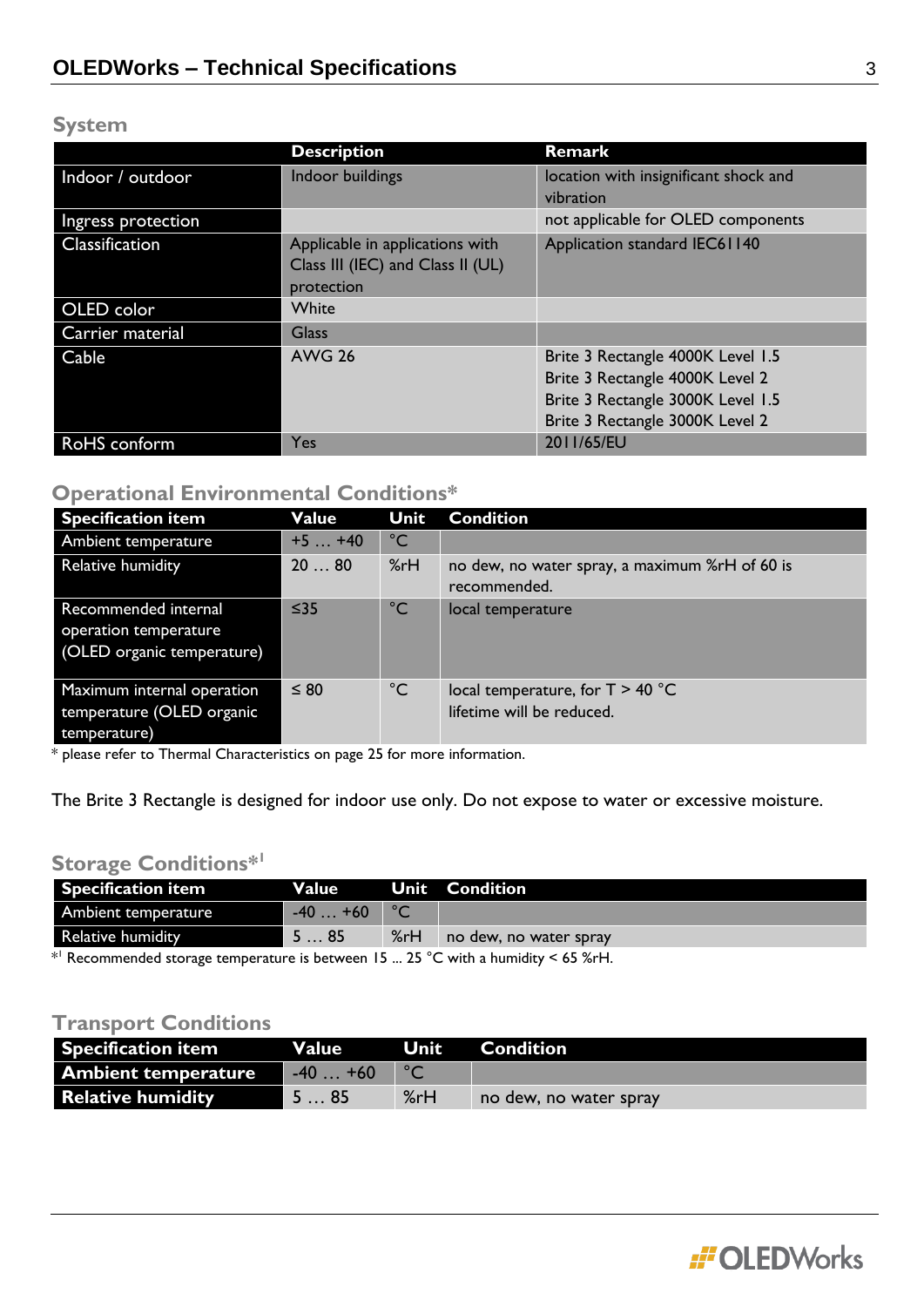# **System**

|                    | <b>Description</b>                | Remark                                |
|--------------------|-----------------------------------|---------------------------------------|
| Indoor / outdoor   | Indoor buildings                  | location with insignificant shock and |
|                    |                                   | vibration                             |
| Ingress protection |                                   | not applicable for OLED components    |
| Classification     | Applicable in applications with   | Application standard IEC61140         |
|                    | Class III (IEC) and Class II (UL) |                                       |
|                    | protection                        |                                       |
| OLED color         | White                             |                                       |
| Carrier material   | <b>Glass</b>                      |                                       |
| Cable              | <b>AWG 26</b>                     | Brite 3 Rectangle 4000K Level 1.5     |
|                    |                                   | Brite 3 Rectangle 4000K Level 2       |
|                    |                                   | Brite 3 Rectangle 3000K Level 1.5     |
|                    |                                   | Brite 3 Rectangle 3000K Level 2       |
| RoHS conform       | <b>Yes</b>                        | 2011/65/EU                            |

# **Operational Environmental Conditions\***

| <b>Specification item</b>                                                   | Value     | Unit         | <b>Condition</b>                                                |
|-----------------------------------------------------------------------------|-----------|--------------|-----------------------------------------------------------------|
| Ambient temperature                                                         | $+5+40$   | $^{\circ}$ C |                                                                 |
| Relative humidity                                                           | 2080      | %rH          | no dew, no water spray, a maximum %rH of 60 is<br>recommended.  |
| Recommended internal<br>operation temperature<br>(OLED organic temperature) | $≤35$     | $^{\circ}$ C | local temperature                                               |
| Maximum internal operation<br>temperature (OLED organic<br>temperature)     | $\leq 80$ | $^{\circ}$ C | local temperature, for $T > 40$ °C<br>lifetime will be reduced. |

\* please refer to Thermal Characteristics on page 25 for more information.

The Brite 3 Rectangle is designed for indoor use only. Do not expose to water or excessive moisture.

# **Storage Conditions\*<sup>1</sup>**

| <b>Specification item</b>                                                             | <b>Value</b>                                |  | <b>Unit Condition</b>      |  |
|---------------------------------------------------------------------------------------|---------------------------------------------|--|----------------------------|--|
| Ambient temperature                                                                   | $-40+60$                                    |  |                            |  |
| <b>Relative humidity</b>                                                              | $\blacksquare$ 5 $\ldots$ 85 $\blacksquare$ |  | %rH no dew, no water spray |  |
| $*$ Recommended storage temperature is between $15-25$ °C with a bumidity $<$ 45 % rH |                                             |  |                            |  |

\* Recommended storage temperature is between 15 ... 25 °C with a humidity < 65 %rH.

# **Transport Conditions**

| <b>Specification item</b> | <b>Value</b> | 'Unit l | Condition              |
|---------------------------|--------------|---------|------------------------|
| Ambient temperature       | $-40+60$     |         |                        |
| <b>Relative humidity</b>  | ` 5 … 85     | %rH     | no dew, no water spray |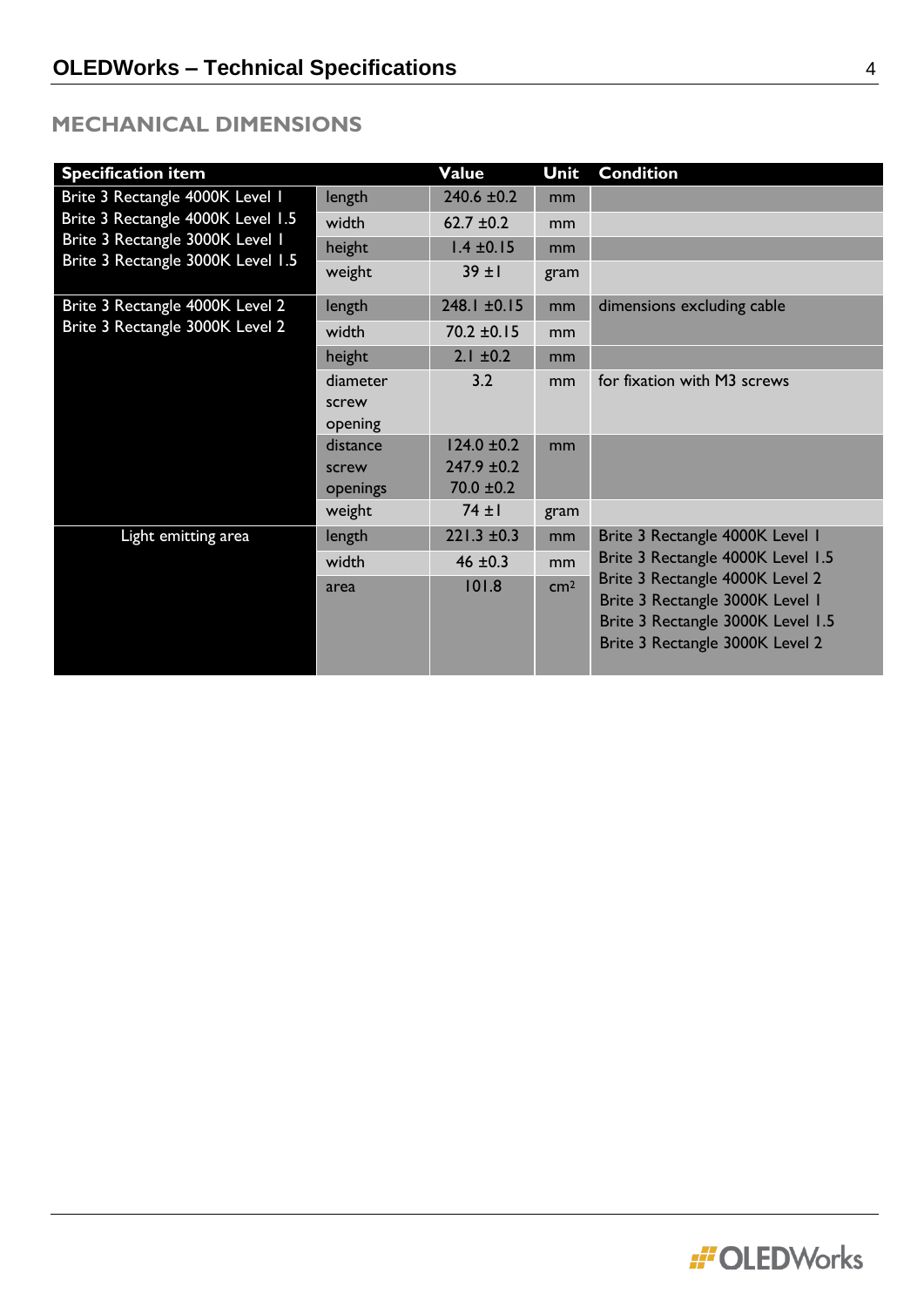# **MECHANICAL DIMENSIONS**

| <b>Specification item</b>         |          | Value            | Unit            | <b>Condition</b>                  |
|-----------------------------------|----------|------------------|-----------------|-----------------------------------|
| Brite 3 Rectangle 4000K Level 1   | length   | $240.6 \pm 0.2$  | mm              |                                   |
| Brite 3 Rectangle 4000K Level 1.5 | width    | 62.7 $\pm$ 0.2   | mm              |                                   |
| Brite 3 Rectangle 3000K Level 1   | height   | $1.4 \pm 0.15$   | mm              |                                   |
| Brite 3 Rectangle 3000K Level 1.5 | weight   | $39 + 1$         | gram            |                                   |
| Brite 3 Rectangle 4000K Level 2   | length   | $248.1 \pm 0.15$ | mm              | dimensions excluding cable        |
| Brite 3 Rectangle 3000K Level 2   | width    | $70.2 \pm 0.15$  | mm              |                                   |
|                                   | height   | $2.1 \pm 0.2$    | mm              |                                   |
|                                   | diameter | 3.2              | mm              | for fixation with M3 screws       |
|                                   | screw    |                  |                 |                                   |
|                                   | opening  |                  |                 |                                   |
|                                   | distance | $124.0 \pm 0.2$  | mm              |                                   |
|                                   | screw    | $247.9 \pm 0.2$  |                 |                                   |
|                                   | openings | $70.0 \pm 0.2$   |                 |                                   |
|                                   | weight   | $74 \pm 1$       | gram            |                                   |
| Light emitting area               | length   | $221.3 \pm 0.3$  | mm              | Brite 3 Rectangle 4000K Level 1   |
|                                   | width    | 46 $±0.3$        | mm              | Brite 3 Rectangle 4000K Level 1.5 |
|                                   | area     | 101.8            | cm <sup>2</sup> | Brite 3 Rectangle 4000K Level 2   |
|                                   |          |                  |                 | Brite 3 Rectangle 3000K Level 1   |
|                                   |          |                  |                 | Brite 3 Rectangle 3000K Level 1.5 |
|                                   |          |                  |                 | Brite 3 Rectangle 3000K Level 2   |
|                                   |          |                  |                 |                                   |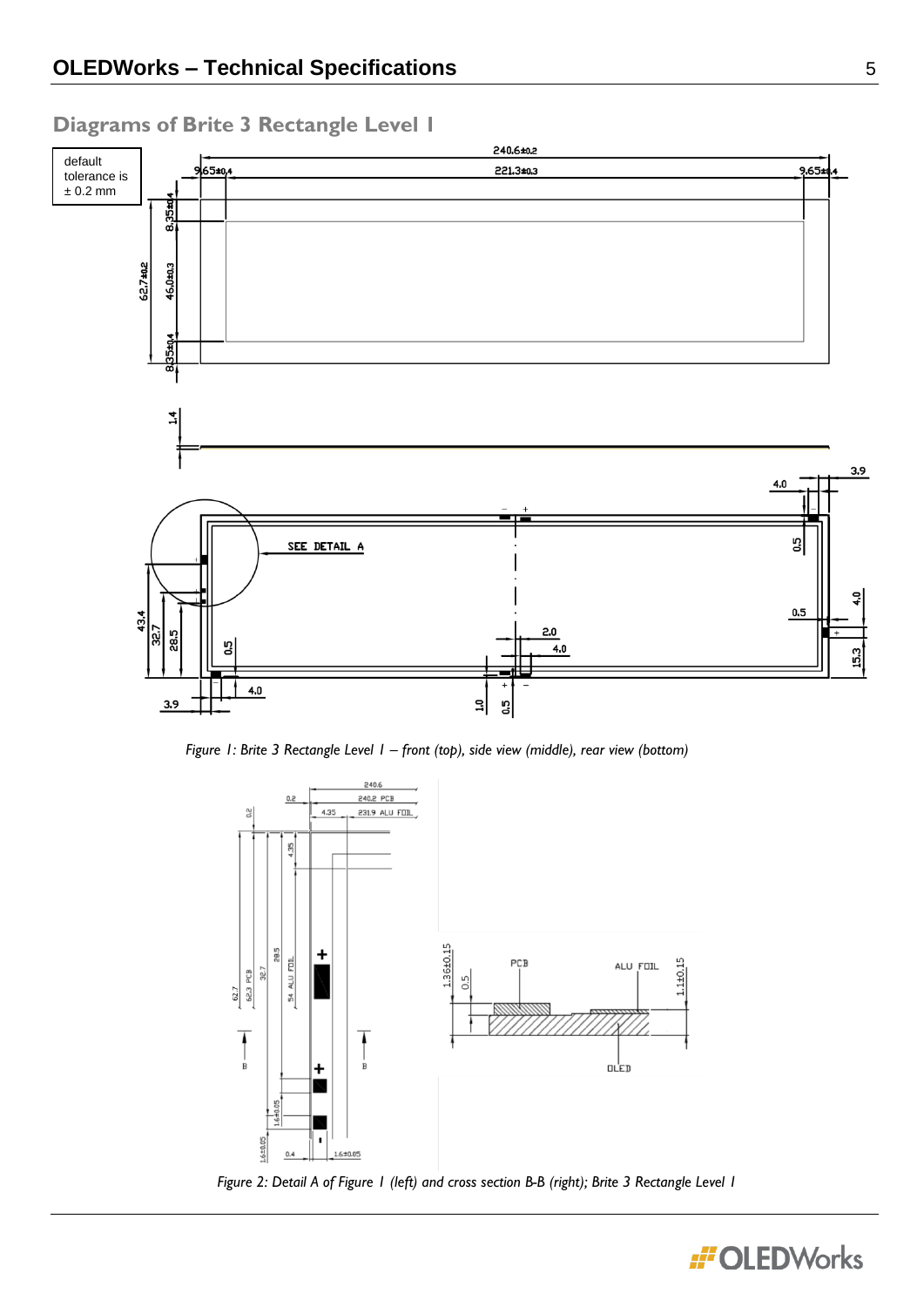

# **Diagrams of Brite 3 Rectangle Level 1**







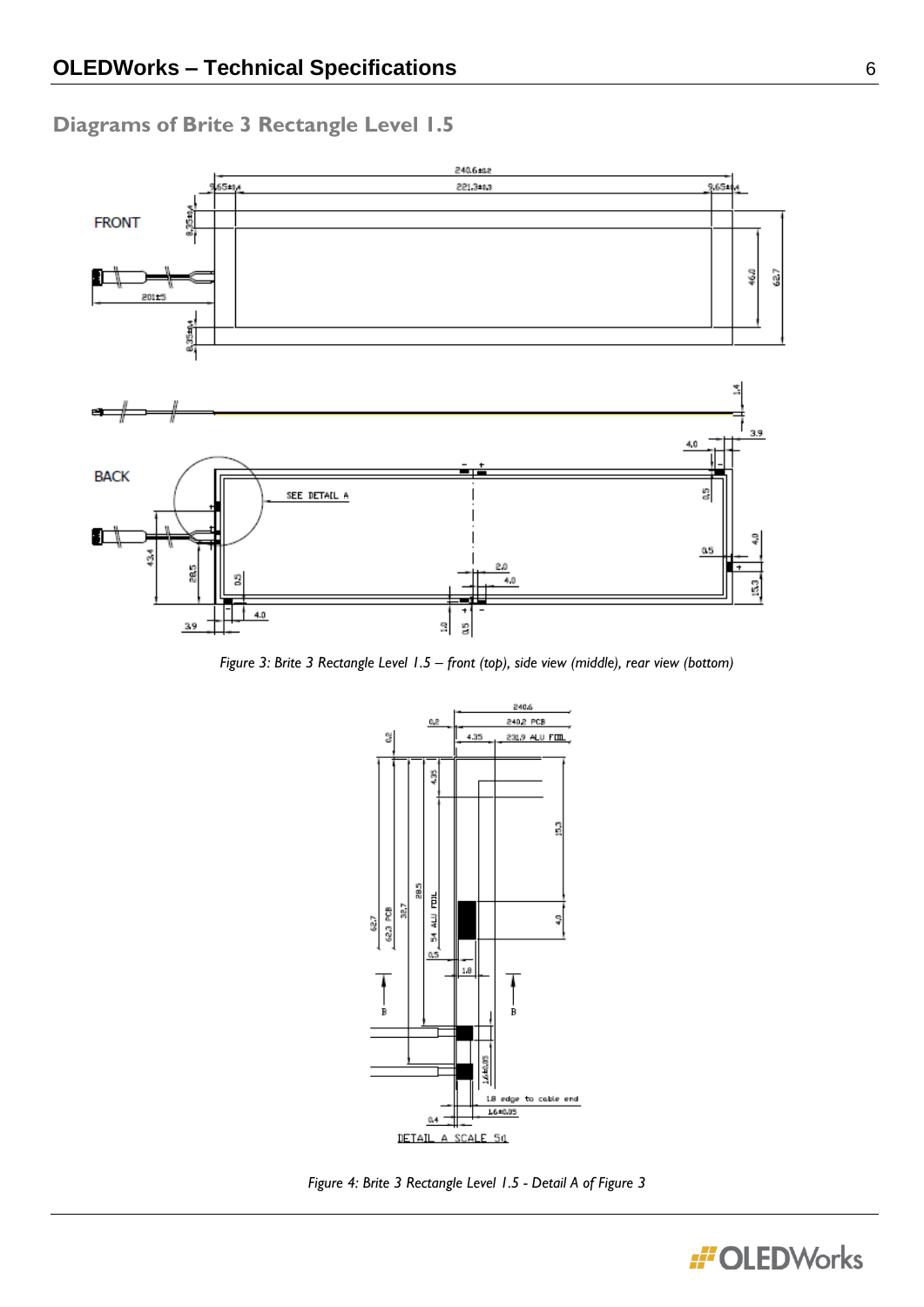# **Diagrams of Brite 3 Rectangle Level 1.5**



*Figure 3: Brite 3 Rectangle Level 1.5 – front (top), side view (middle), rear view (bottom)*



*Figure 4: Brite 3 Rectangle Level 1.5 - Detail A of Figure 3*

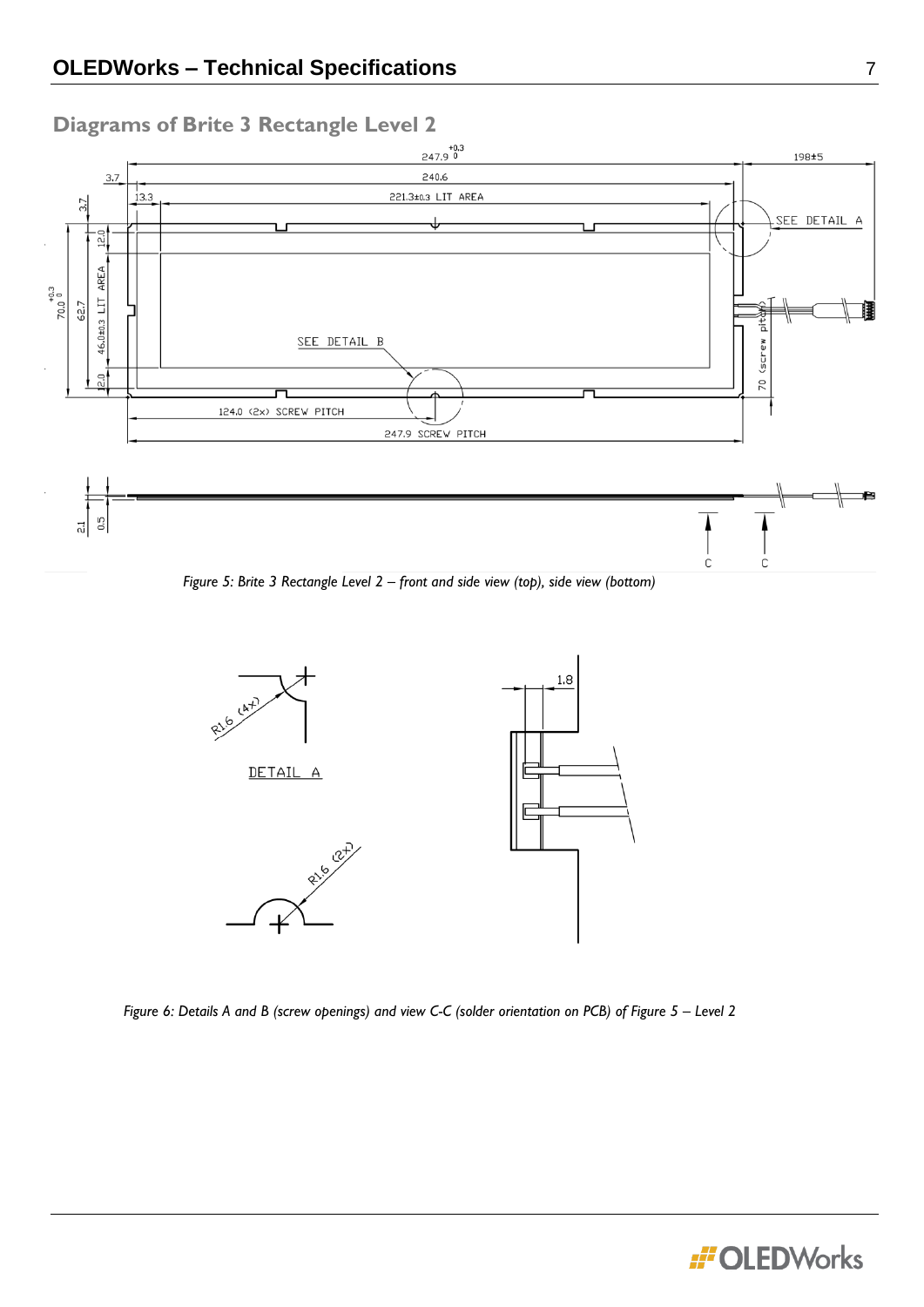

*Figure 5: Brite 3 Rectangle Level 2 – front and side view (top), side view (bottom)*



*Figure 6: Details A and B (screw openings) and view C-C (solder orientation on PCB) of Figure 5 – Level 2*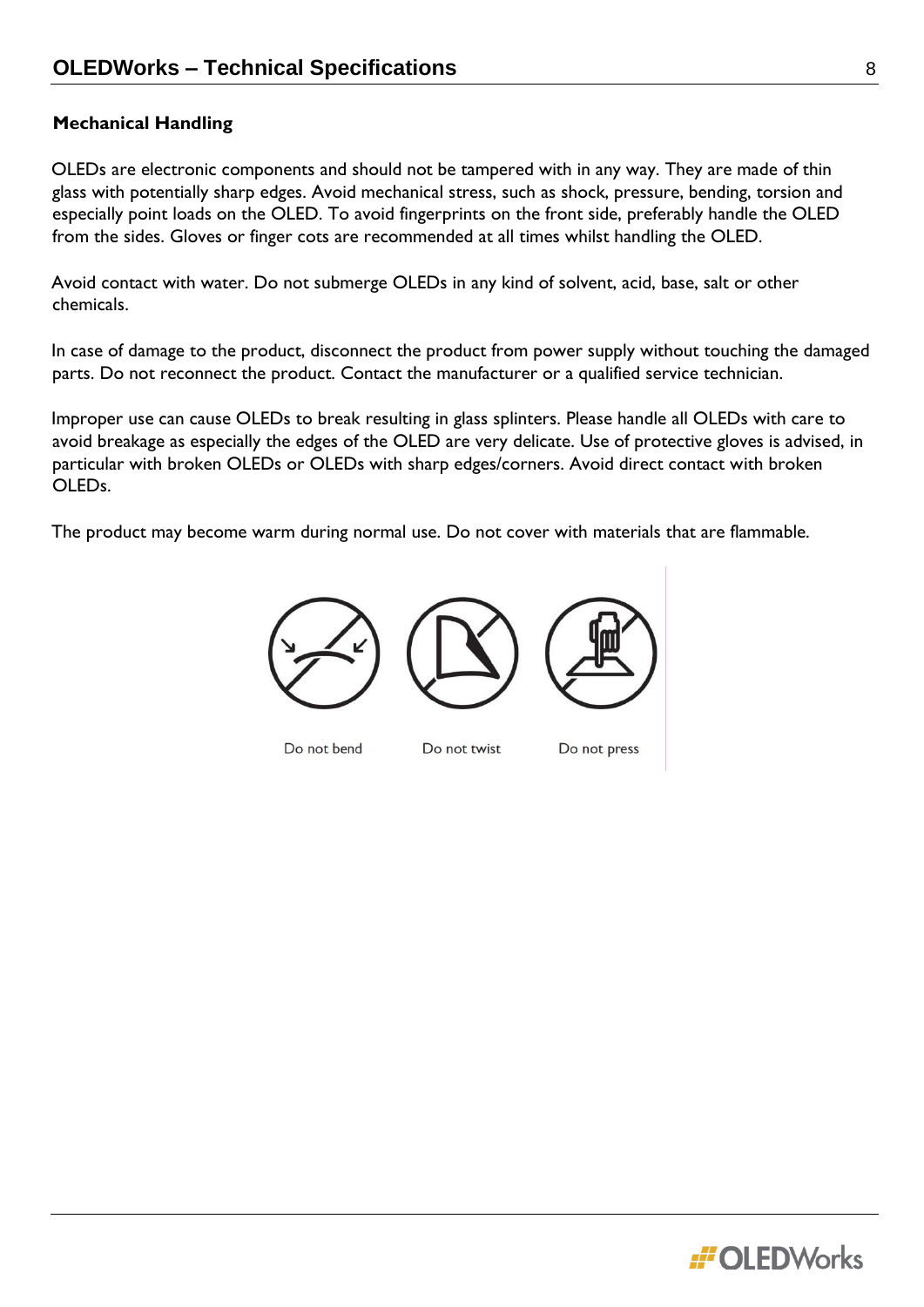# **Mechanical Handling**

OLEDs are electronic components and should not be tampered with in any way. They are made of thin glass with potentially sharp edges. Avoid mechanical stress, such as shock, pressure, bending, torsion and especially point loads on the OLED. To avoid fingerprints on the front side, preferably handle the OLED from the sides. Gloves or finger cots are recommended at all times whilst handling the OLED.

Avoid contact with water. Do not submerge OLEDs in any kind of solvent, acid, base, salt or other chemicals.

In case of damage to the product, disconnect the product from power supply without touching the damaged parts. Do not reconnect the product. Contact the manufacturer or a qualified service technician.

Improper use can cause OLEDs to break resulting in glass splinters. Please handle all OLEDs with care to avoid breakage as especially the edges of the OLED are very delicate. Use of protective gloves is advised, in particular with broken OLEDs or OLEDs with sharp edges/corners. Avoid direct contact with broken OLEDs.

The product may become warm during normal use. Do not cover with materials that are flammable.



Do not bend

Do not twist

Do not press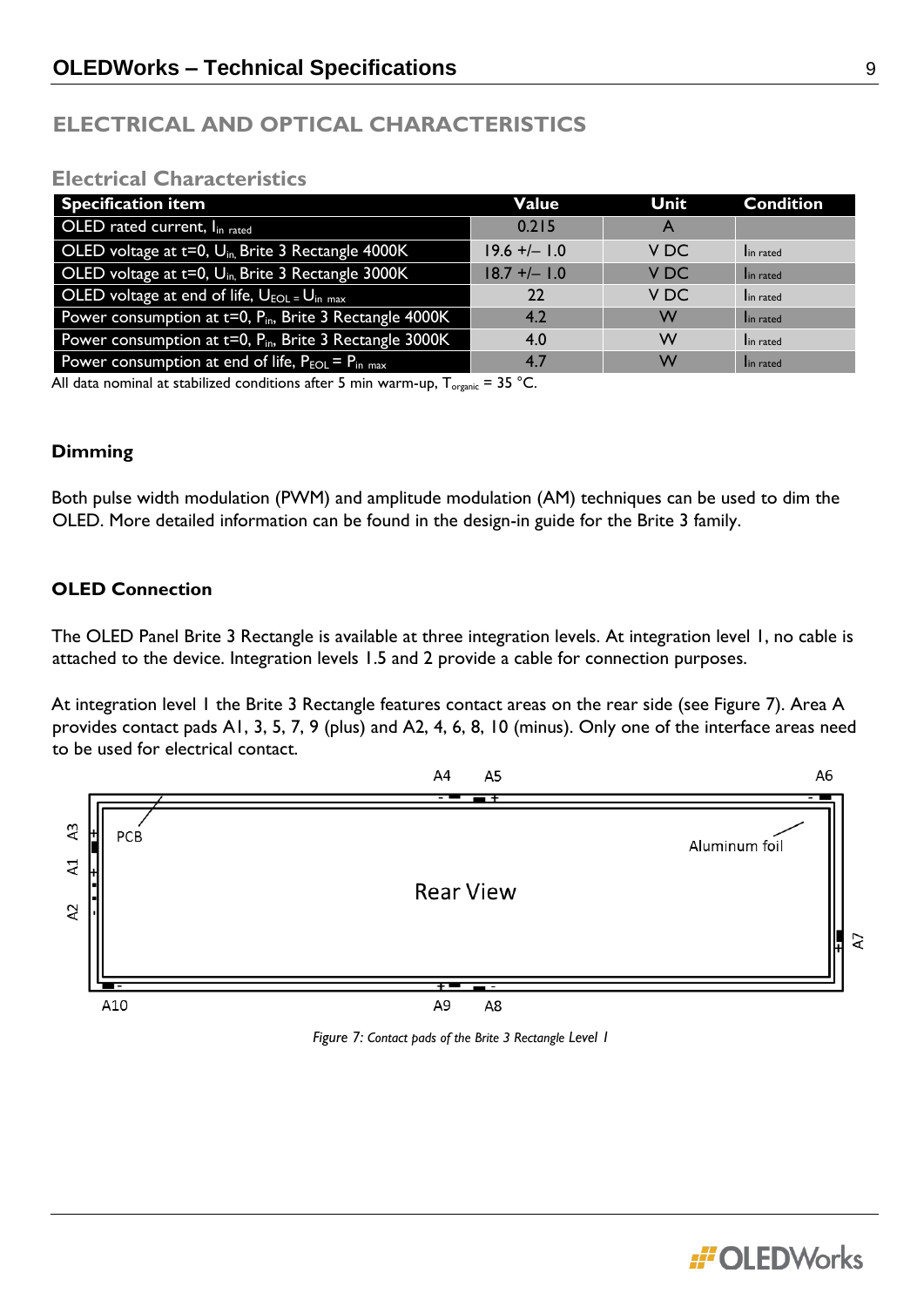# **ELECTRICAL AND OPTICAL CHARACTERISTICS**

# **Electrical Characteristics**

| <b>Specification item</b>                                                  | Value          | Unit            | <b>Condition</b> |
|----------------------------------------------------------------------------|----------------|-----------------|------------------|
| OLED rated current, Iin rated                                              | 0.215          | A               |                  |
| OLED voltage at $t=0$ , $U_{in}$ Brite 3 Rectangle 4000K                   | $19.6 +/- 1.0$ | V DC            | In rated         |
| OLED voltage at t=0, U <sub>in</sub> Brite 3 Rectangle 3000K               | $18.7 +/- 1.0$ | V <sub>DC</sub> | In rated         |
| OLED voltage at end of life, $U_{EOL} = U_{in max}$                        | 22             | V DC            | In rated         |
| Power consumption at $t=0$ , $\overline{P_{in}}$ , Brite 3 Rectangle 4000K | 4.2            | W               | In rated         |
| Power consumption at $t=0$ , $P_{in}$ , Brite 3 Rectangle 3000K            | 4.0            | W               | In rated         |
| Power consumption at end of life, $P_{EOL} = P_{in max}$                   | 4.7            | W               | In rated         |

All data nominal at stabilized conditions after 5 min warm-up,  $T_{\text{organic}} = 35 \text{ °C}$ .

# **Dimming**

Both pulse width modulation (PWM) and amplitude modulation (AM) techniques can be used to dim the OLED. More detailed information can be found in the design-in guide for the Brite 3 family.

# **OLED Connection**

The OLED Panel Brite 3 Rectangle is available at three integration levels. At integration level 1, no cable is attached to the device. Integration levels 1.5 and 2 provide a cable for connection purposes.

At integration level 1 the Brite 3 Rectangle features contact areas on the rear side (see Figure 7). Area A provides contact pads A1, 3, 5, 7, 9 (plus) and A2, 4, 6, 8, 10 (minus). Only one of the interface areas need to be used for electrical contact.



*Figure 7: Contact pads of the Brite 3 Rectangle Level 1* 

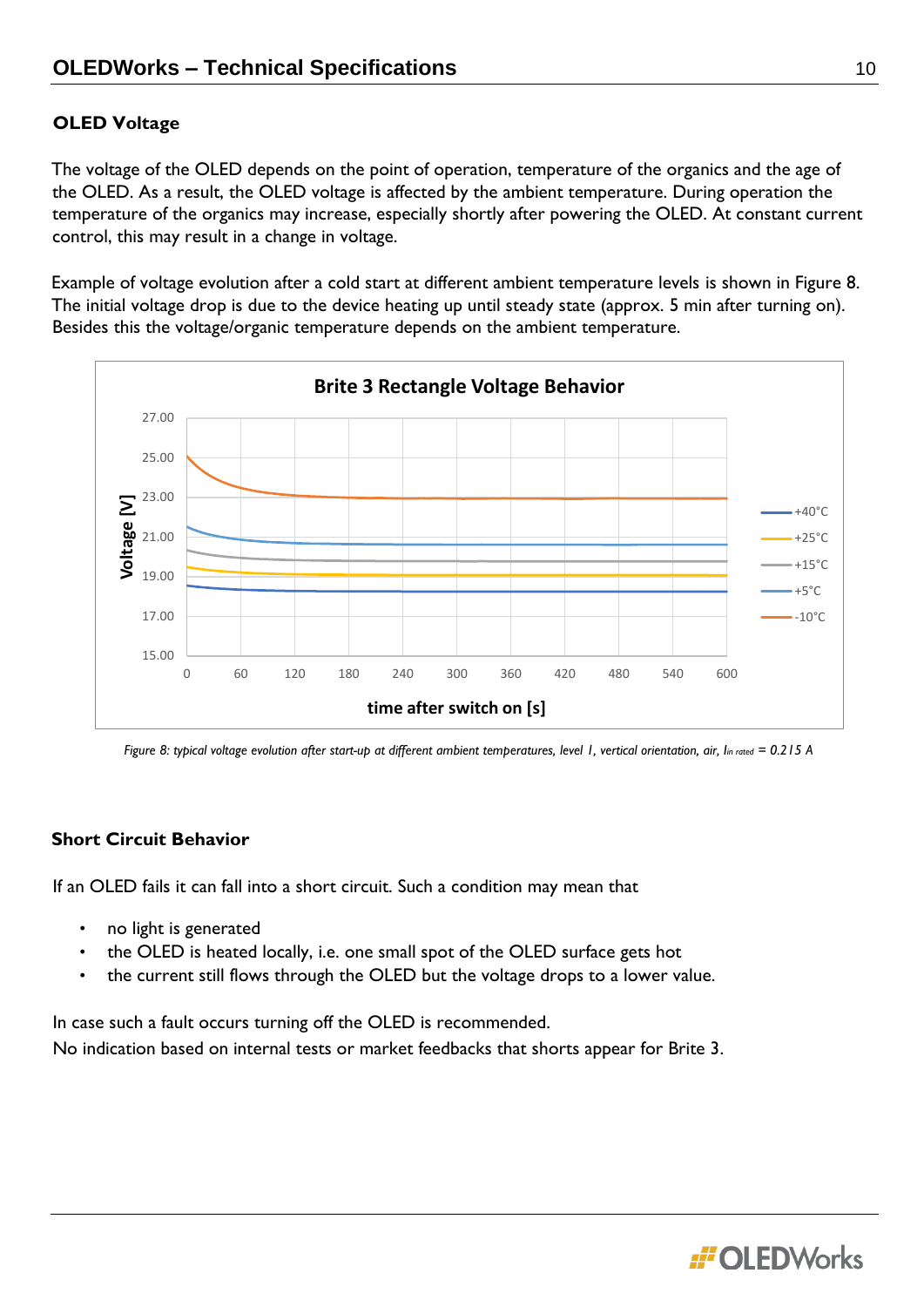# **OLED Voltage**

The voltage of the OLED depends on the point of operation, temperature of the organics and the age of the OLED. As a result, the OLED voltage is affected by the ambient temperature. During operation the temperature of the organics may increase, especially shortly after powering the OLED. At constant current control, this may result in a change in voltage.

Example of voltage evolution after a cold start at different ambient temperature levels is shown in Figure 8. The initial voltage drop is due to the device heating up until steady state (approx. 5 min after turning on). Besides this the voltage/organic temperature depends on the ambient temperature.



*Figure 8: typical voltage evolution after start-up at different ambient temperatures, level 1, vertical orientation, air, Iin rated = 0.215 A*

#### **Short Circuit Behavior**

If an OLED fails it can fall into a short circuit. Such a condition may mean that

- no light is generated
- the OLED is heated locally, i.e. one small spot of the OLED surface gets hot
- the current still flows through the OLED but the voltage drops to a lower value.

In case such a fault occurs turning off the OLED is recommended.

No indication based on internal tests or market feedbacks that shorts appear for Brite 3.

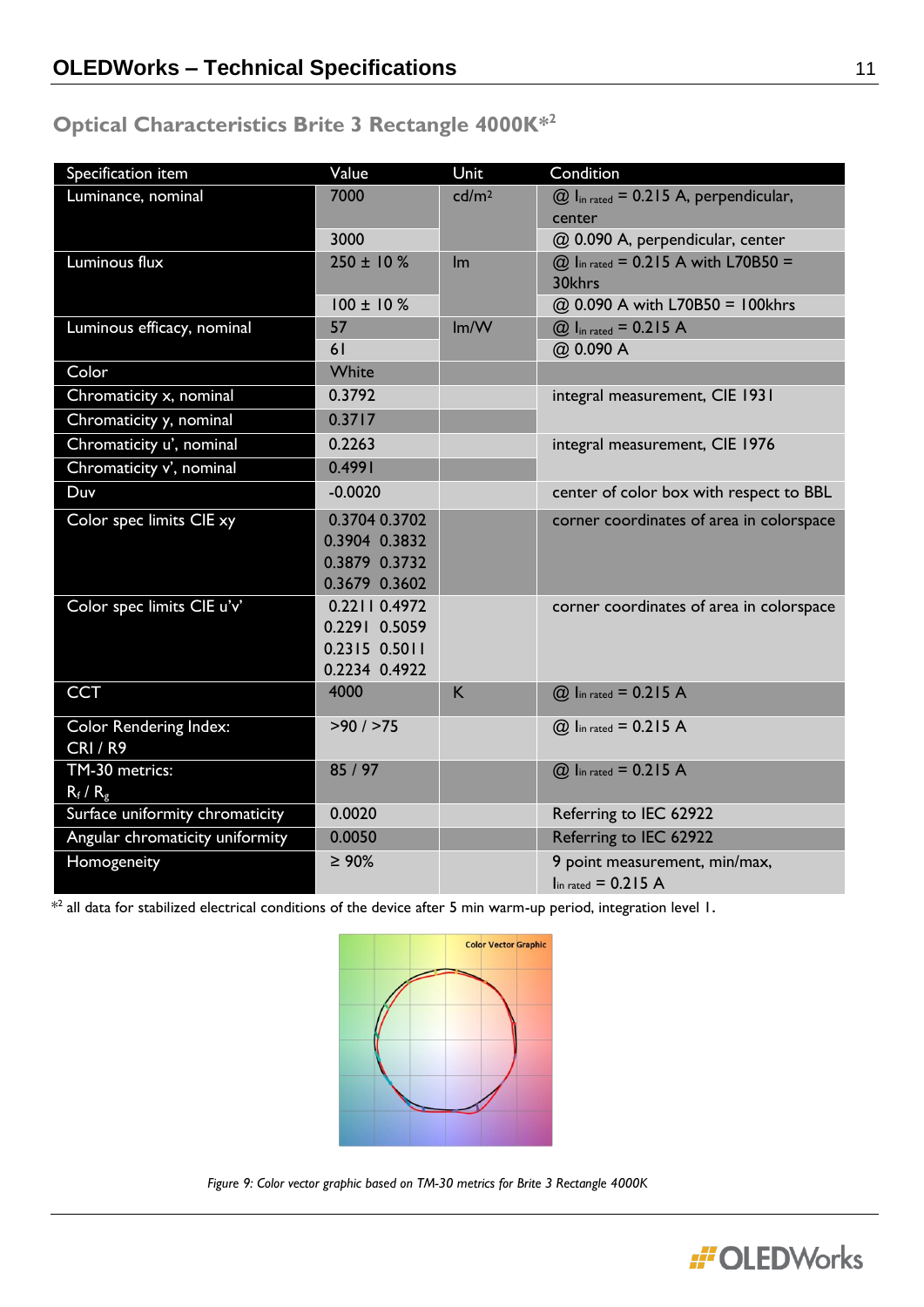# **Optical Characteristics Brite 3 Rectangle 4000K\* 2**

| Specification item              | Value           | Unit              | Condition                                              |
|---------------------------------|-----------------|-------------------|--------------------------------------------------------|
| Luminance, nominal              | 7000            | cd/m <sup>2</sup> | $@$ l <sub>in rated</sub> = 0.215 A, perpendicular,    |
|                                 |                 |                   | center                                                 |
|                                 | 3000            |                   | @ 0.090 A, perpendicular, center                       |
| Luminous flux                   | $250 \pm 10 \%$ | Im                | @ Iin rated = 0.215 A with L70B50 =<br>30khrs          |
|                                 | $100 \pm 10 \%$ |                   | @ 0.090 A with L70B50 = 100khrs                        |
| Luminous efficacy, nominal      | 57              | Im/W              | $@Iin rated = 0.215 A$                                 |
|                                 | 61              |                   | @ 0.090 A                                              |
| Color                           | White           |                   |                                                        |
| Chromaticity x, nominal         | 0.3792          |                   | integral measurement, CIE 1931                         |
| Chromaticity y, nominal         | 0.3717          |                   |                                                        |
| Chromaticity u', nominal        | 0.2263          |                   | integral measurement, CIE 1976                         |
| Chromaticity v', nominal        | 0.4991          |                   |                                                        |
| Duv                             | $-0.0020$       |                   | center of color box with respect to BBL                |
| Color spec limits CIE xy        | 0.3704 0.3702   |                   | corner coordinates of area in colorspace               |
|                                 | 0.3904 0.3832   |                   |                                                        |
|                                 | 0.3879 0.3732   |                   |                                                        |
|                                 | 0.3679 0.3602   |                   |                                                        |
| Color spec limits CIE u'v'      | 0.2211 0.4972   |                   | corner coordinates of area in colorspace               |
|                                 | 0.2291 0.5059   |                   |                                                        |
|                                 | 0.2315 0.5011   |                   |                                                        |
|                                 | 0.2234 0.4922   |                   |                                                        |
| <b>CCT</b>                      | 4000            | K                 | $@$ lin rated = 0.215 A                                |
| Color Rendering Index:          | $>90$ / $>75$   |                   | $@$ Iin rated = 0.215 A                                |
| <b>CRI/R9</b>                   |                 |                   |                                                        |
| TM-30 metrics:                  | 85 / 97         |                   | @ Iin rated = 0.215 A                                  |
| $R_f/R_g$                       |                 |                   |                                                        |
| Surface uniformity chromaticity | 0.0020          |                   | Referring to IEC 62922                                 |
| Angular chromaticity uniformity | 0.0050          |                   | Referring to IEC 62922                                 |
| Homogeneity                     | $\geq 90\%$     |                   | 9 point measurement, min/max,<br>$\ln$ rated = 0.215 A |

 $*^{2}$  all data for stabilized electrical conditions of the device after 5 min warm-up period, integration level 1.



*Figure 9: Color vector graphic based on TM-30 metrics for Brite 3 Rectangle 4000K*

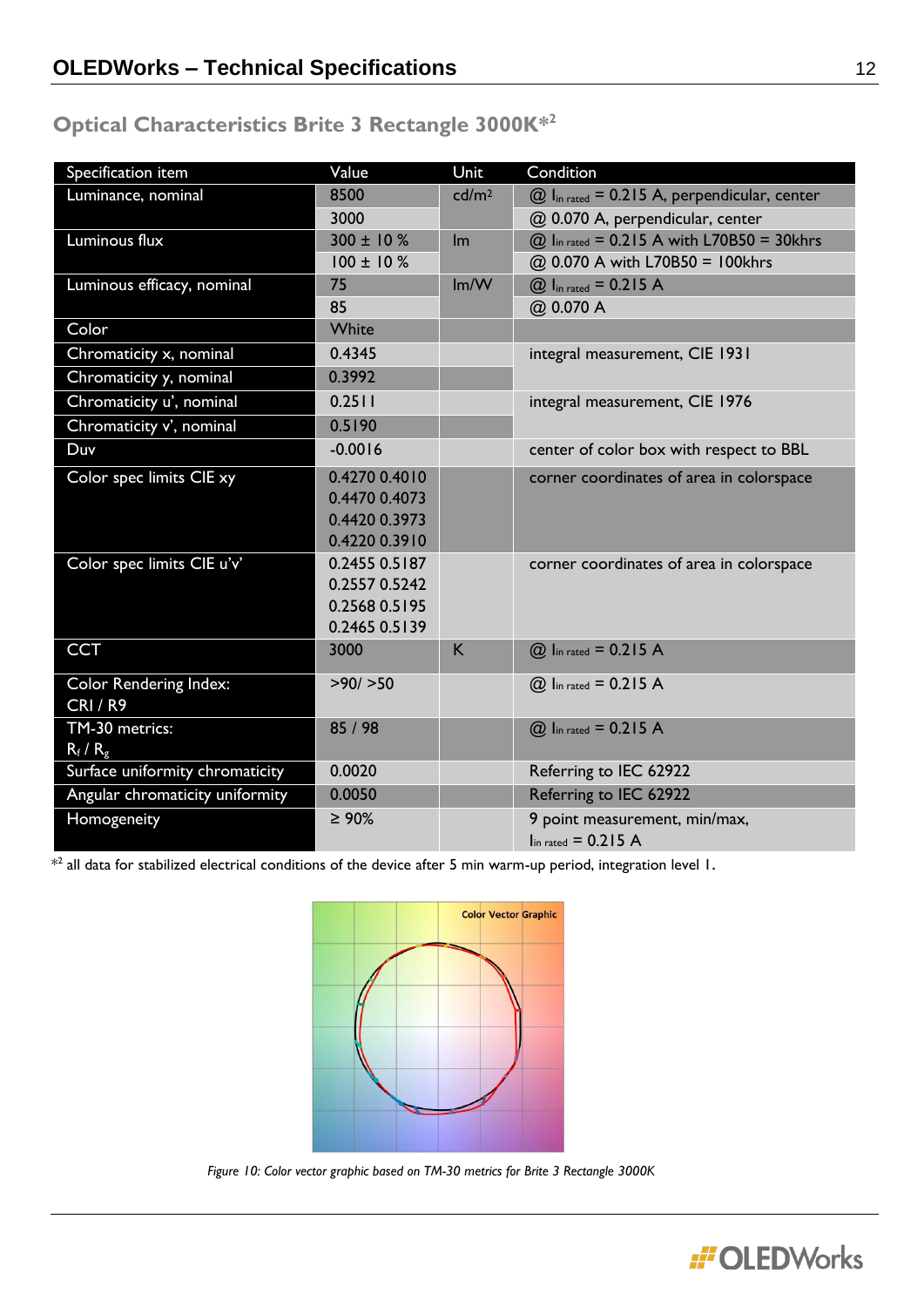# **Optical Characteristics Brite 3 Rectangle 3000K\* 2**

| Specification item              | Value           | Unit              | Condition                                                  |
|---------------------------------|-----------------|-------------------|------------------------------------------------------------|
| Luminance, nominal              | 8500            | cd/m <sup>2</sup> | $@$ I <sub>in rated</sub> = 0.215 A, perpendicular, center |
|                                 | 3000            |                   | @ 0.070 A, perpendicular, center                           |
| Luminous flux                   | $300 \pm 10 \%$ | Im                | @ Iin rated = 0.215 A with L70B50 = 30khrs                 |
|                                 | $100 \pm 10 \%$ |                   | @ 0.070 A with L70B50 = 100khrs                            |
| Luminous efficacy, nominal      | 75              | Im/W              | $@$ I <sub>in rated</sub> = 0.215 A                        |
|                                 | 85              |                   | @ 0.070 A                                                  |
| Color                           | White           |                   |                                                            |
| Chromaticity x, nominal         | 0.4345          |                   | integral measurement, CIE 1931                             |
| Chromaticity y, nominal         | 0.3992          |                   |                                                            |
| Chromaticity u', nominal        | 0.2511          |                   | integral measurement, CIE 1976                             |
| Chromaticity v', nominal        | 0.5190          |                   |                                                            |
| Duv                             | $-0.0016$       |                   | center of color box with respect to BBL                    |
| Color spec limits CIE xy        | 0.4270 0.4010   |                   | corner coordinates of area in colorspace                   |
|                                 | 0.4470 0.4073   |                   |                                                            |
|                                 | 0.4420 0.3973   |                   |                                                            |
|                                 | 0.4220 0.3910   |                   |                                                            |
| Color spec limits CIE u'v'      | 0.2455 0.5187   |                   | corner coordinates of area in colorspace                   |
|                                 | 0.2557 0.5242   |                   |                                                            |
|                                 | 0.2568 0.5195   |                   |                                                            |
|                                 | 0.2465 0.5139   |                   |                                                            |
| <b>CCT</b>                      | 3000            | K                 | <b>@</b> Iin rated = 0.215 A                               |
| Color Rendering Index:          | >90/>50         |                   | $@$ lin rated = 0.215 A                                    |
| <b>CRI / R9</b>                 |                 |                   |                                                            |
| TM-30 metrics:                  | 85 / 98         |                   | $@$ lin rated = 0.215 A                                    |
| $R_f/R_g$                       |                 |                   |                                                            |
| Surface uniformity chromaticity | 0.0020          |                   | Referring to IEC 62922                                     |
| Angular chromaticity uniformity | 0.0050          |                   | Referring to IEC 62922                                     |
| Homogeneity                     | $\geq 90\%$     |                   | 9 point measurement, min/max,                              |
|                                 |                 |                   | $\ln$ rated = 0.215 A                                      |

 $*^{2}$  all data for stabilized electrical conditions of the device after 5 min warm-up period, integration level 1.



*Figure 10: Color vector graphic based on TM-30 metrics for Brite 3 Rectangle 3000K*

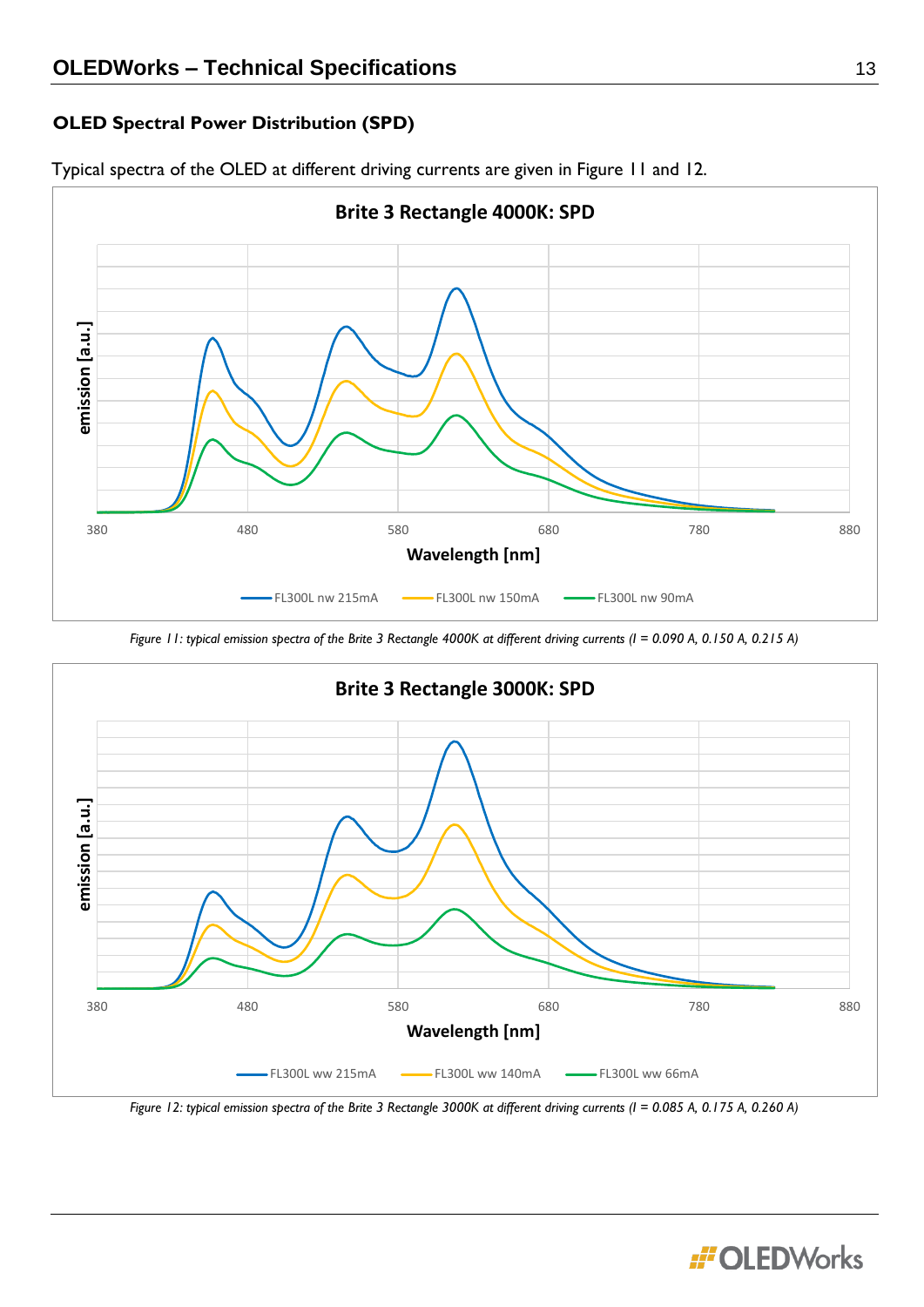# **OLED Spectral Power Distribution (SPD)**



Typical spectra of the OLED at different driving currents are given in Figure 11 and 12.

*Figure 11: typical emission spectra of the Brite 3 Rectangle 4000K at different driving currents (I = 0.090 A, 0.150 A, 0.215 A)*



*Figure 12: typical emission spectra of the Brite 3 Rectangle 3000K at different driving currents (I = 0.085 A, 0.175 A, 0.260 A)*

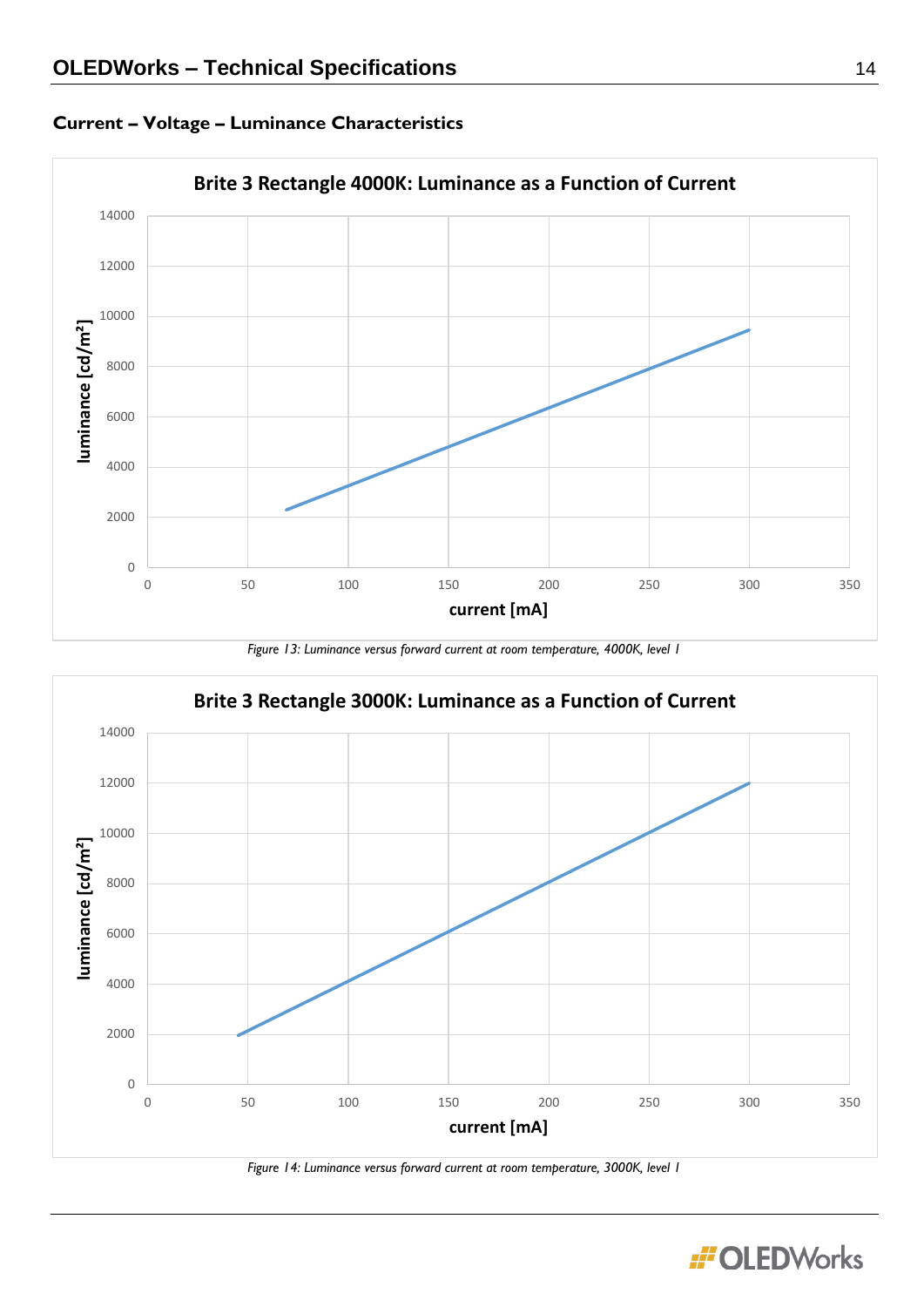

# **Current – Voltage – Luminance Characteristics**





*Figure 14: Luminance versus forward current at room temperature, 3000K, level 1*

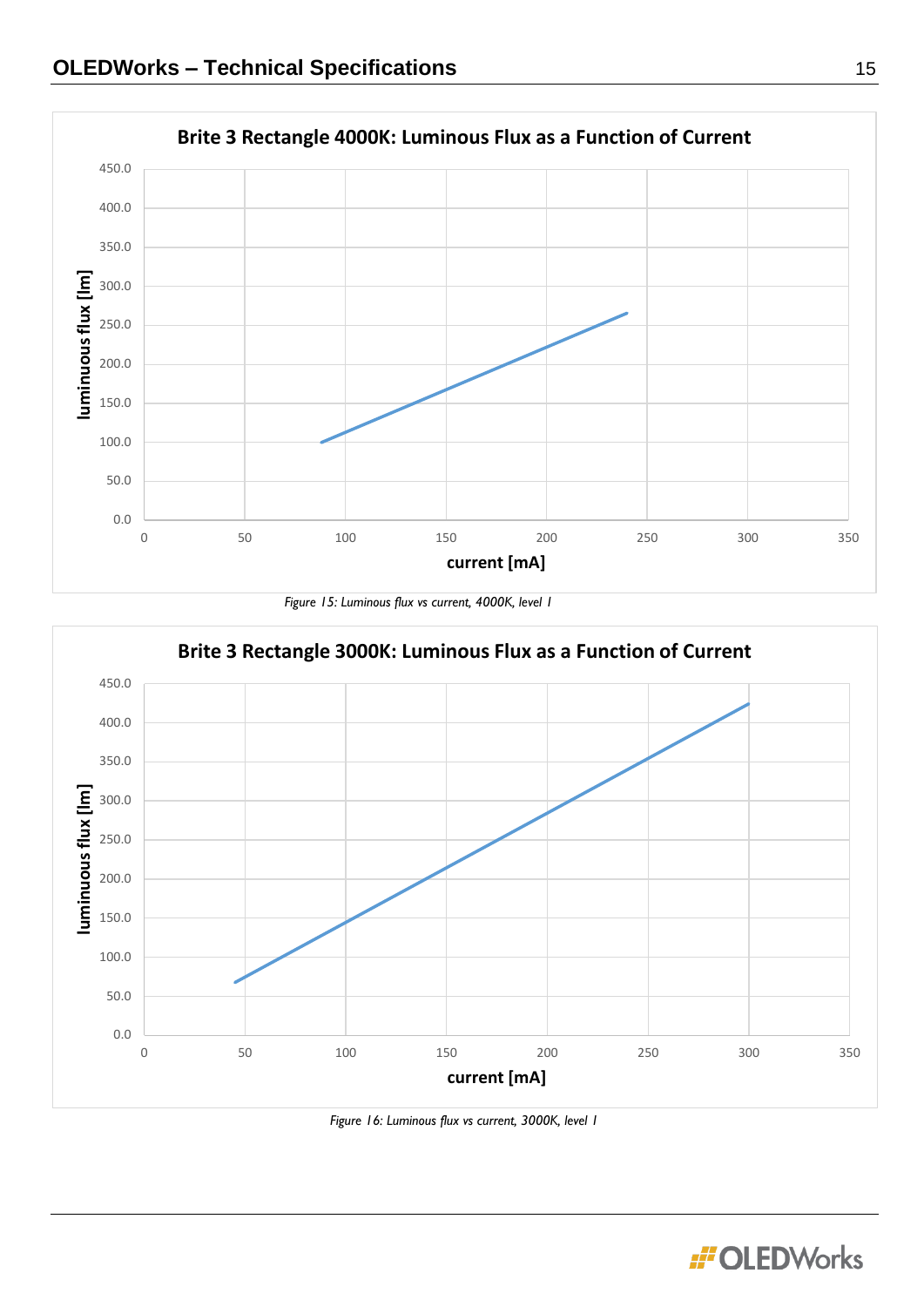

*Figure 15: Luminous flux vs current, 4000K, level 1* 



*Figure 16: Luminous flux vs current, 3000K, level 1*

**:i'OLEDWorks**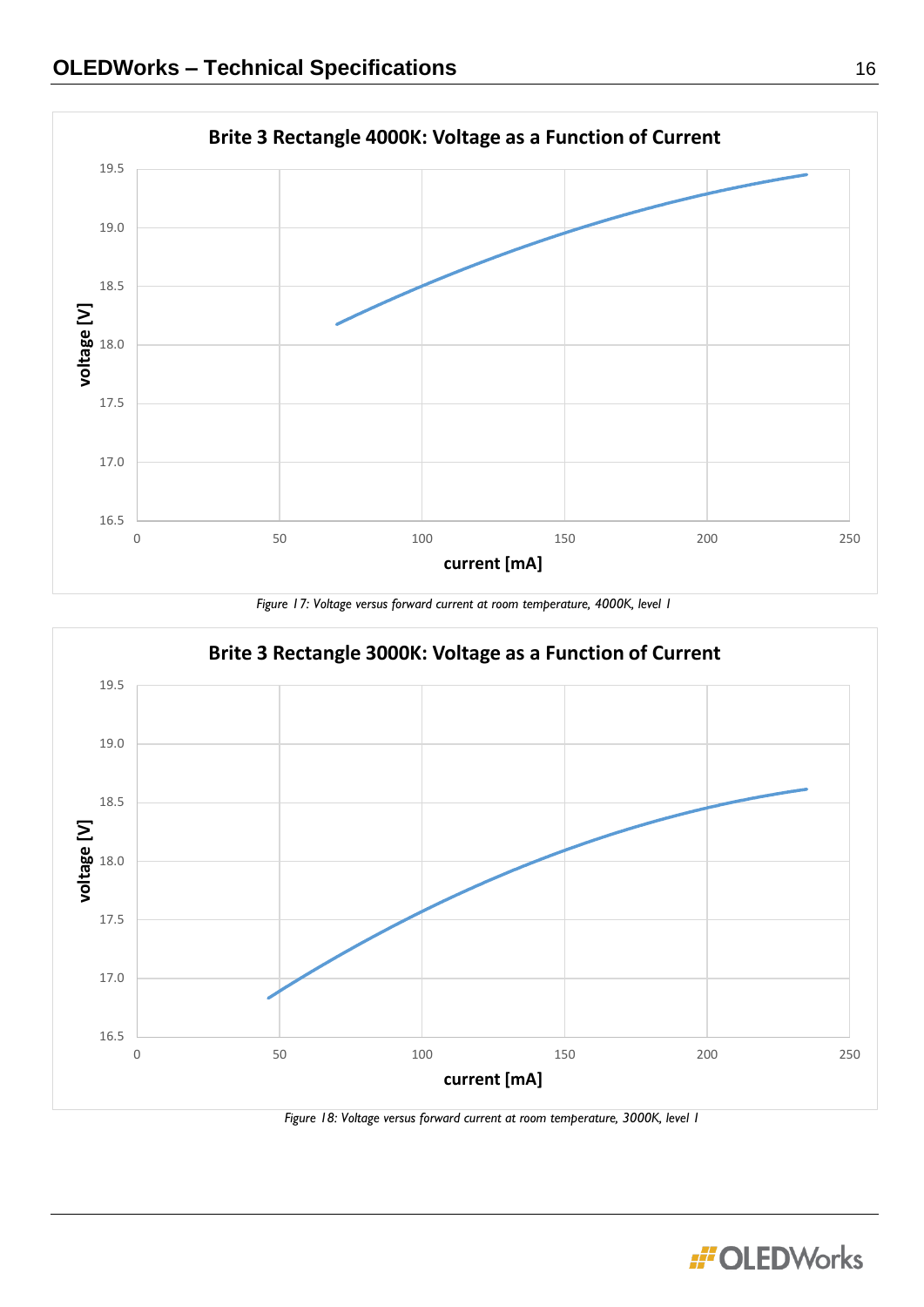

*Figure 17: Voltage versus forward current at room temperature, 4000K, level 1*



*Figure 18: Voltage versus forward current at room temperature, 3000K, level 1*

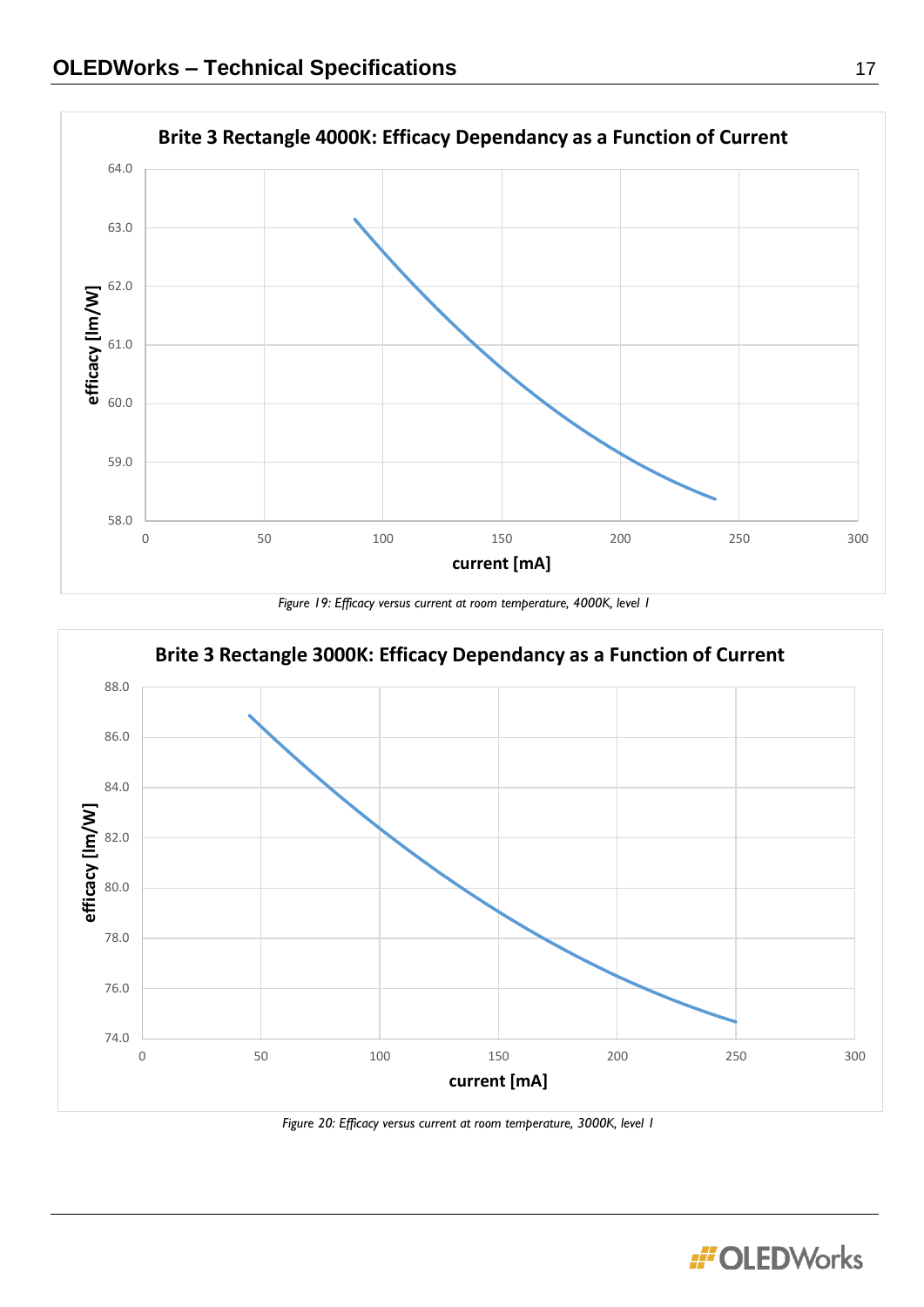





*Figure 20: Efficacy versus current at room temperature, 3000K, level 1*

**:i'OLEDWorks**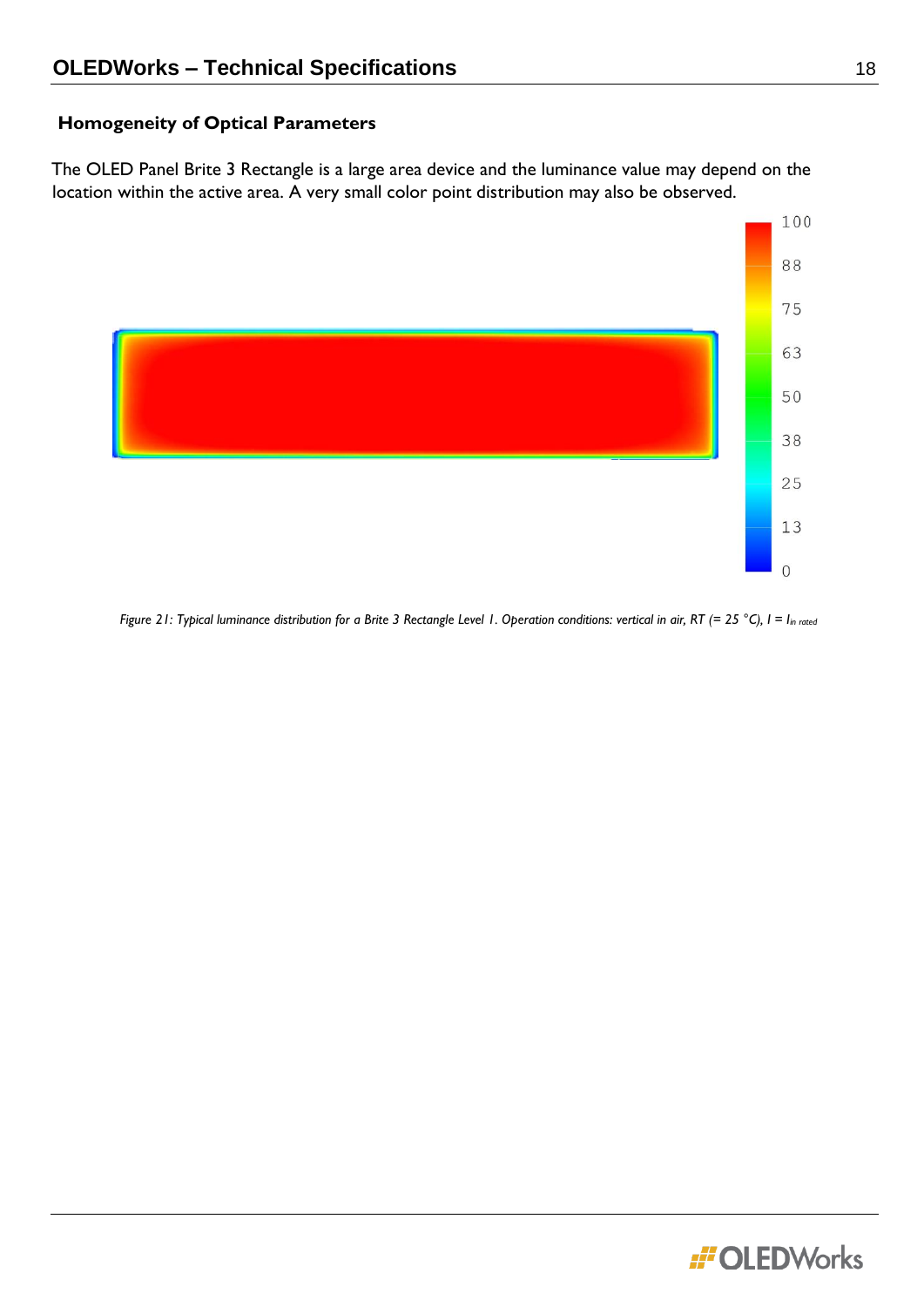# **Homogeneity of Optical Parameters**

The OLED Panel Brite 3 Rectangle is a large area device and the luminance value may depend on the location within the active area. A very small color point distribution may also be observed.



*Figure 21: Typical luminance distribution for a Brite 3 Rectangle Level 1. Operation conditions: vertical in air, RT (= 25 °C), I = Iin rated*

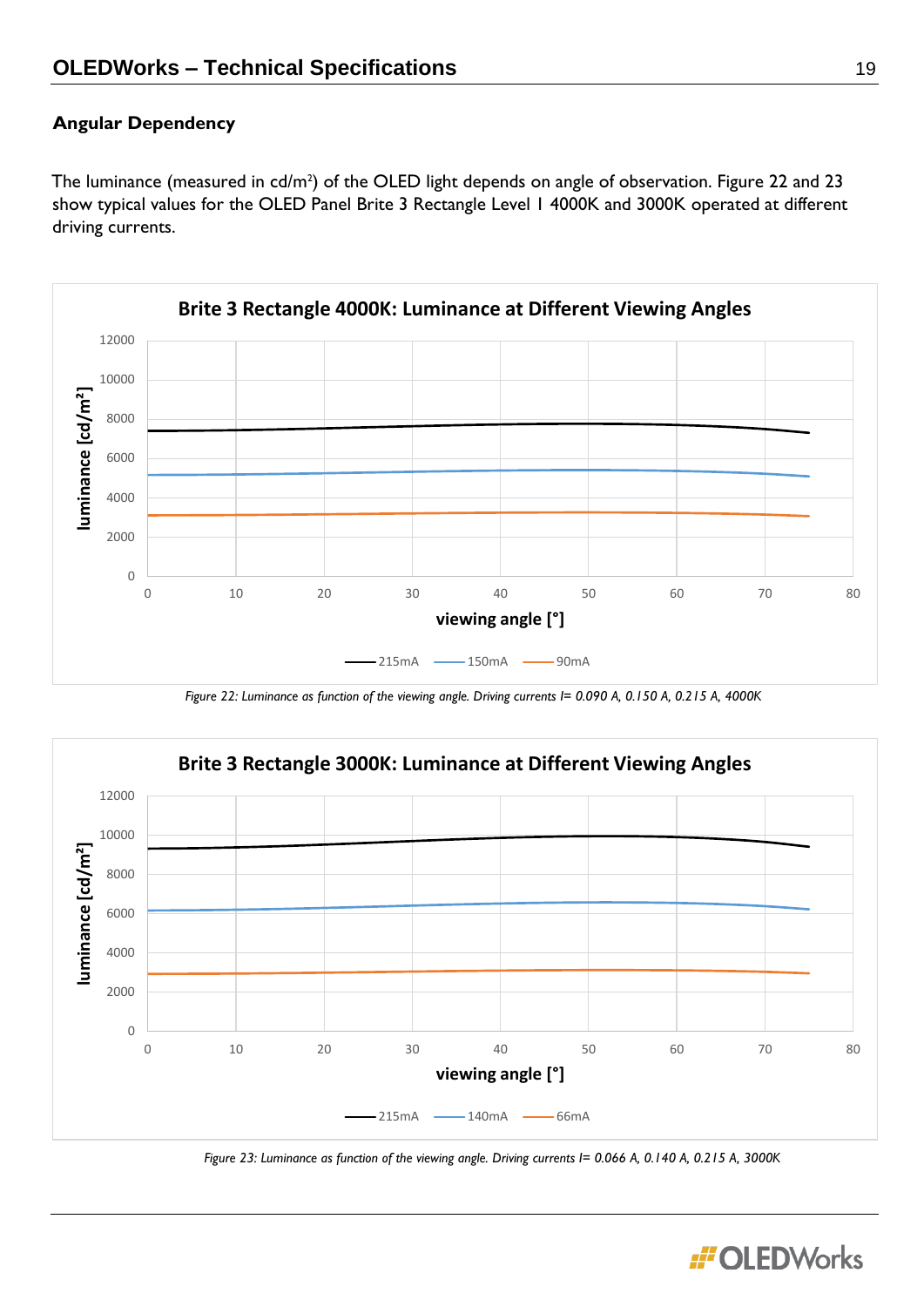# **Angular Dependency**

The luminance (measured in  $cd/m^2$ ) of the OLED light depends on angle of observation. Figure 22 and 23 show typical values for the OLED Panel Brite 3 Rectangle Level 1 4000K and 3000K operated at different driving currents.



*Figure 22: Luminance as function of the viewing angle. Driving currents I= 0.090 A, 0.150 A, 0.215 A, 4000K*



*Figure 23: Luminance as function of the viewing angle. Driving currents I= 0.066 A, 0.140 A, 0.215 A, 3000K*

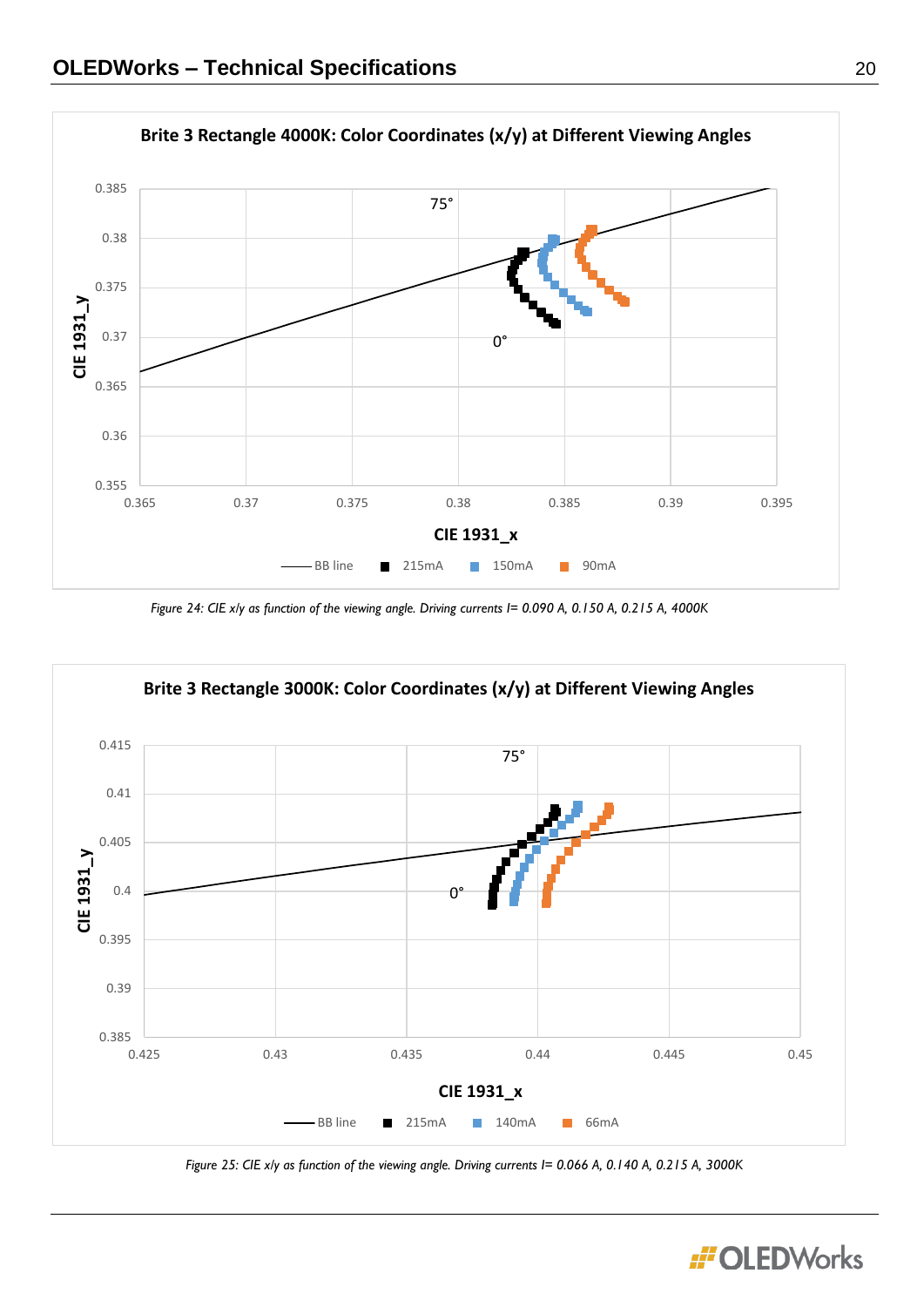

*Figure 24: CIE x/y as function of the viewing angle. Driving currents I= 0.090 A, 0.150 A, 0.215 A, 4000K*



*Figure 25: CIE x/y as function of the viewing angle. Driving currents I= 0.066 A, 0.140 A, 0.215 A, 3000K*

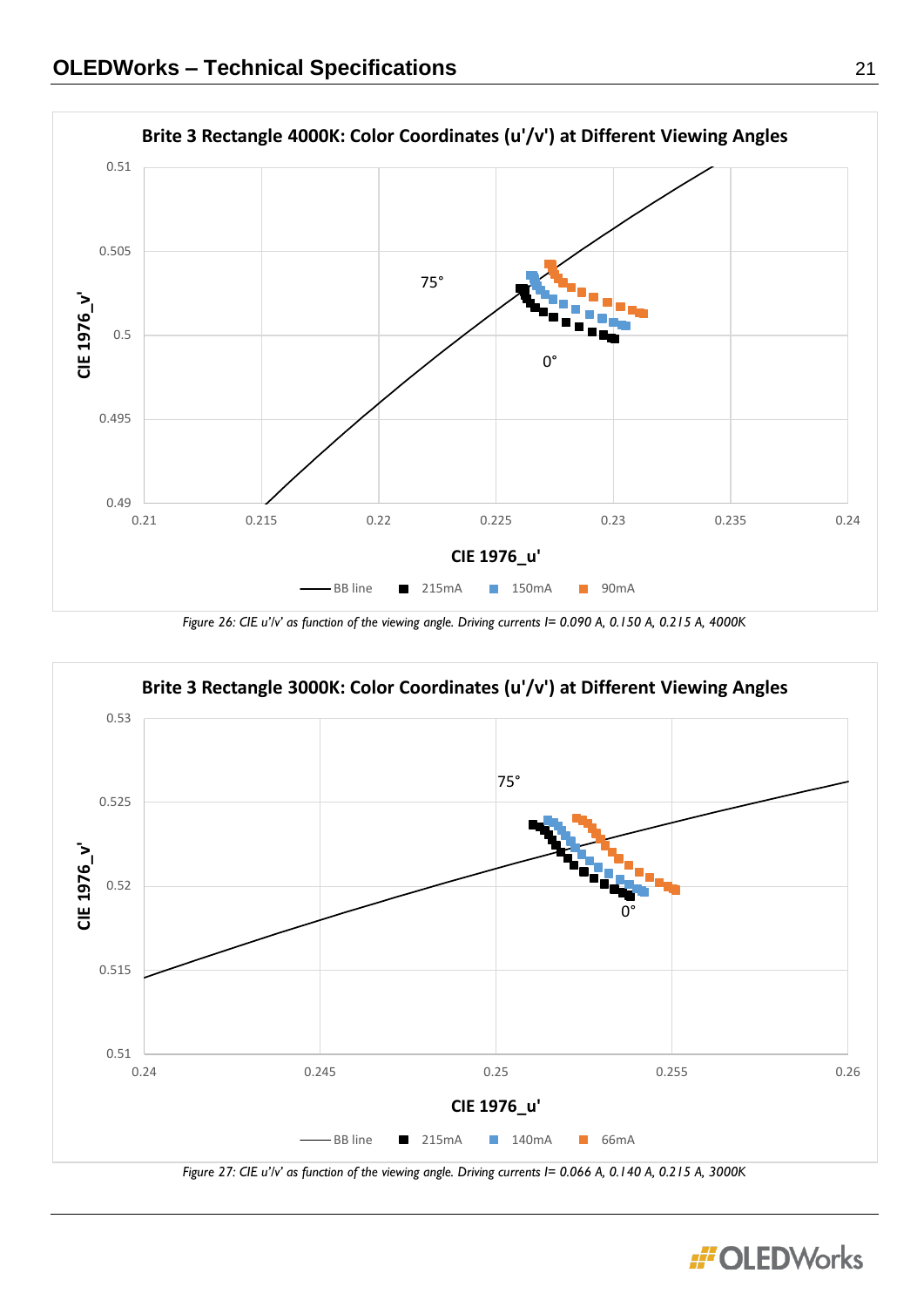

*Figure 26: CIE u'/v' as function of the viewing angle. Driving currents I= 0.090 A, 0.150 A, 0.215 A, 4000K*



*Figure 27: CIE u'/v' as function of the viewing angle. Driving currents I= 0.066 A, 0.140 A, 0.215 A, 3000K*

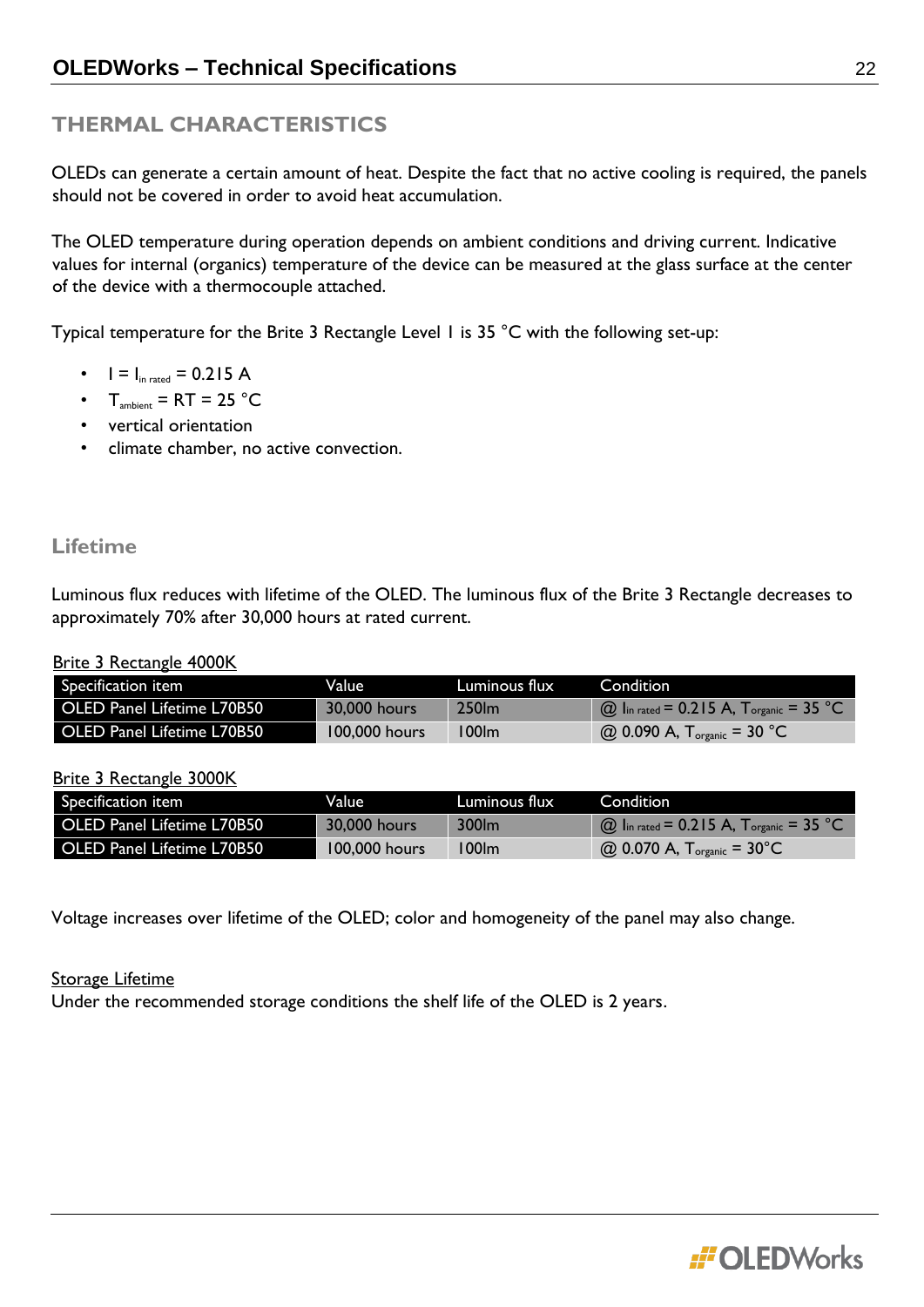# **THERMAL CHARACTERISTICS**

OLEDs can generate a certain amount of heat. Despite the fact that no active cooling is required, the panels should not be covered in order to avoid heat accumulation.

The OLED temperature during operation depends on ambient conditions and driving current. Indicative values for internal (organics) temperature of the device can be measured at the glass surface at the center of the device with a thermocouple attached.

Typical temperature for the Brite 3 Rectangle Level 1 is 35 °C with the following set-up:

- $I = I_{in \, rated} = 0.215 \, A$
- $T_{\text{ambient}} = RT = 25 \text{ °C}$
- vertical orientation
- climate chamber, no active convection.

# **Lifetime**

Luminous flux reduces with lifetime of the OLED. The luminous flux of the Brite 3 Rectangle decreases to approximately 70% after 30,000 hours at rated current.

#### Brite 3 Rectangle 4000K

| Specification item                | Value         | Luminous flux | Condition                                      |
|-----------------------------------|---------------|---------------|------------------------------------------------|
| <b>OLED Panel Lifetime L70B50</b> | 30,000 hours  | 250lm         | $\omega$ lin rated = 0.215 A, Torganic = 35 °C |
| <b>OLED Panel Lifetime L70B50</b> | 100,000 hours | 100lm         | @ 0.090 A, $T_{\text{organic}}$ = 30 °C        |

#### Brite 3 Rectangle 3000K

| Specification item                | Value I       | Luminous flux | Condition                                      |
|-----------------------------------|---------------|---------------|------------------------------------------------|
| <b>OLED Panel Lifetime L70B50</b> | 30,000 hours  | 300lm         | $\omega$ lin rated = 0.215 A, Torganic = 35 °C |
| OLED Panel Lifetime L70B50        | 100.000 hours | 100lm         | $Q_{0.070 A, T_{organic} = 30^{\circ}C$        |

Voltage increases over lifetime of the OLED; color and homogeneity of the panel may also change.

#### **Storage Lifetime**

Under the recommended storage conditions the shelf life of the OLED is 2 years.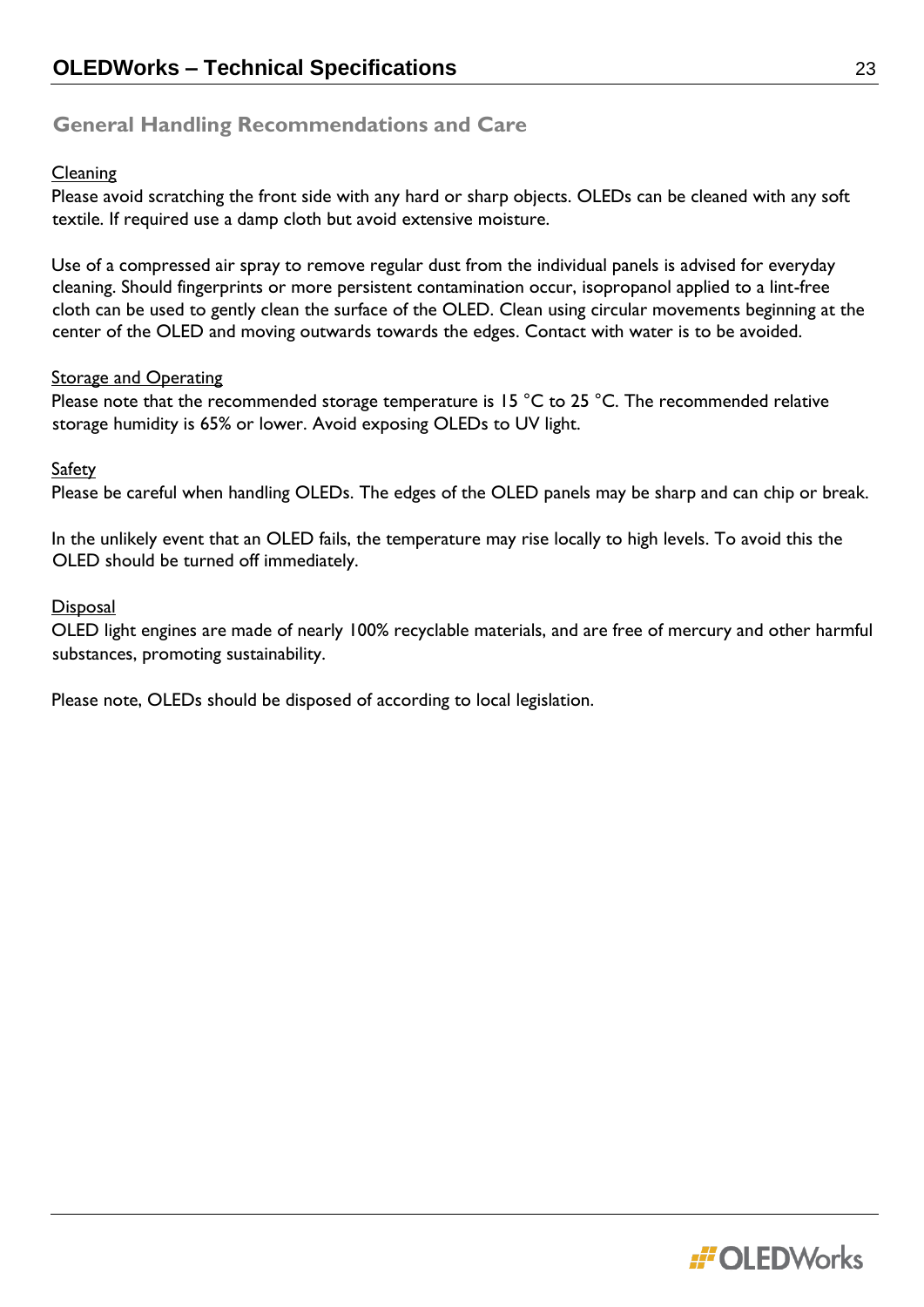# **General Handling Recommendations and Care**

#### **Cleaning**

Please avoid scratching the front side with any hard or sharp objects. OLEDs can be cleaned with any soft textile. If required use a damp cloth but avoid extensive moisture.

Use of a compressed air spray to remove regular dust from the individual panels is advised for everyday cleaning. Should fingerprints or more persistent contamination occur, isopropanol applied to a lint-free cloth can be used to gently clean the surface of the OLED. Clean using circular movements beginning at the center of the OLED and moving outwards towards the edges. Contact with water is to be avoided.

#### **Storage and Operating**

Please note that the recommended storage temperature is 15 °C to 25 °C. The recommended relative storage humidity is 65% or lower. Avoid exposing OLEDs to UV light.

#### Safety

Please be careful when handling OLEDs. The edges of the OLED panels may be sharp and can chip or break.

In the unlikely event that an OLED fails, the temperature may rise locally to high levels. To avoid this the OLED should be turned off immediately.

#### **Disposal**

OLED light engines are made of nearly 100% recyclable materials, and are free of mercury and other harmful substances, promoting sustainability.

Please note, OLEDs should be disposed of according to local legislation.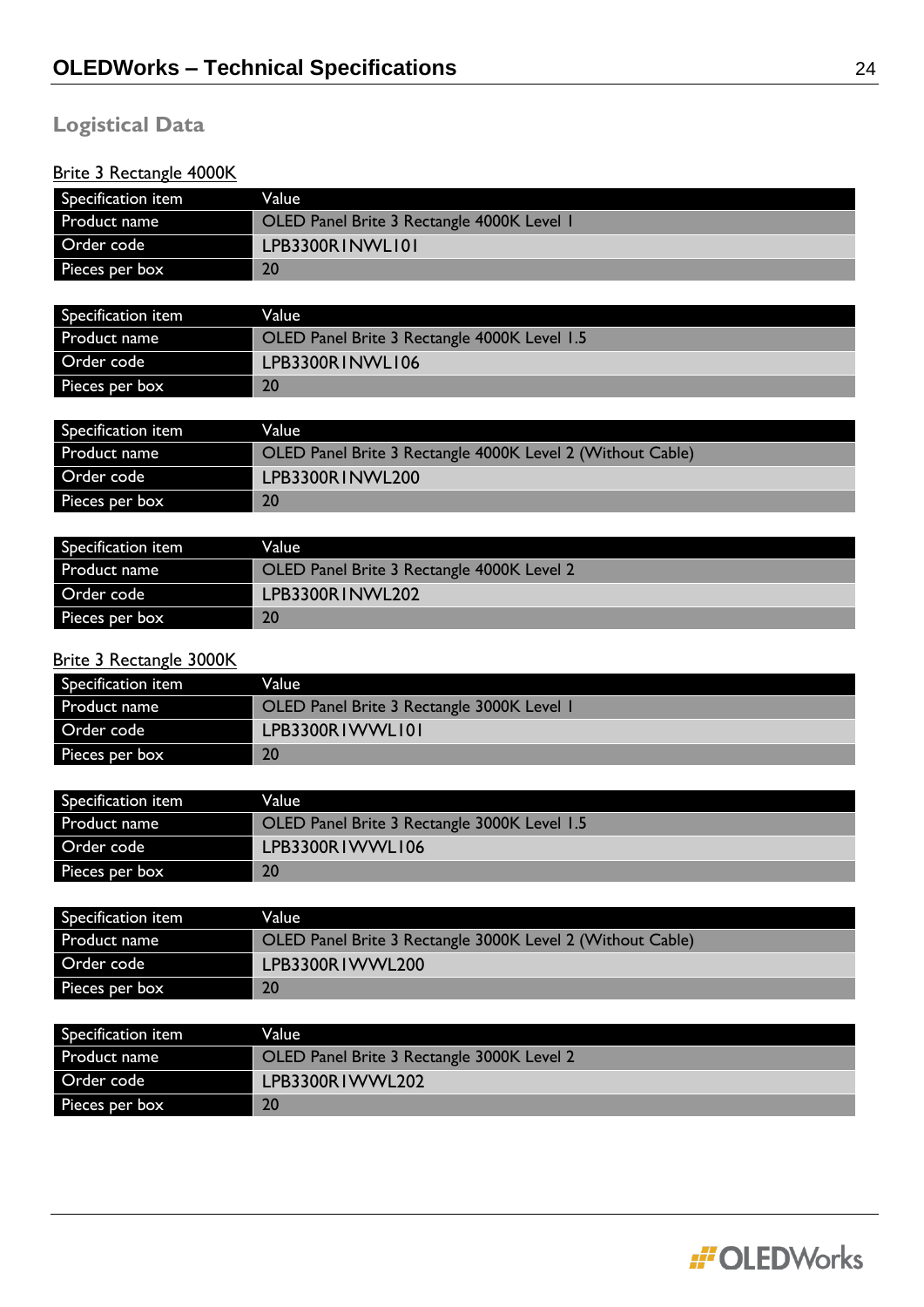# **Logistical Data**

# Brite 3 Rectangle 4000K

| Specification item                                   | Value                                                      |
|------------------------------------------------------|------------------------------------------------------------|
| Product name                                         | OLED Panel Brite 3 Rectangle 4000K Level 1                 |
| Order code                                           | LPB3300RINWLI01                                            |
| Pieces per box                                       | 20                                                         |
|                                                      |                                                            |
| Specification item                                   | Value                                                      |
| Product name                                         | OLED Panel Brite 3 Rectangle 4000K Level 1.5               |
| Order code                                           | LPB3300RINWLI06                                            |
| Pieces per box                                       | 20                                                         |
|                                                      |                                                            |
| Specification item                                   | Value                                                      |
| Product name                                         | OLED Panel Brite 3 Rectangle 4000K Level 2 (Without Cable) |
| Order code                                           | LPB3300RINWL200                                            |
| Pieces per box                                       | 20                                                         |
|                                                      |                                                            |
| Specification item                                   | Value                                                      |
| Product name                                         | OLED Panel Brite 3 Rectangle 4000K Level 2                 |
| Order code                                           | LPB3300RINWL202                                            |
| Pieces per box                                       | 20                                                         |
|                                                      |                                                            |
| <b>Brite 3 Rectangle 3000K</b><br>Specification item | Value                                                      |
| Product name                                         | OLED Panel Brite 3 Rectangle 3000K Level 1                 |
| Order code                                           | LPB3300RIWWLI01                                            |
|                                                      | 20                                                         |
| Pieces per box                                       |                                                            |
| Specification item                                   | Value                                                      |
| Product name                                         | OLED Panel Brite 3 Rectangle 3000K Level 1.5               |
| Order code                                           | LPB3300RIWWLI06                                            |
| Pieces per box                                       | 20                                                         |
|                                                      |                                                            |
| Specification item                                   | Value                                                      |
| Product name                                         | OLED Panel Brite 3 Rectangle 3000K Level 2 (Without Cable) |
| Order code                                           | LPB3300RIWWL200                                            |
| Pieces per box                                       | 20                                                         |
|                                                      |                                                            |
| Specification item                                   | Value                                                      |
| Product name                                         | OLED Panel Brite 3 Rectangle 3000K Level 2                 |
| Order code                                           | LPB3300RIWWL202                                            |
| Pieces per box                                       | 20                                                         |